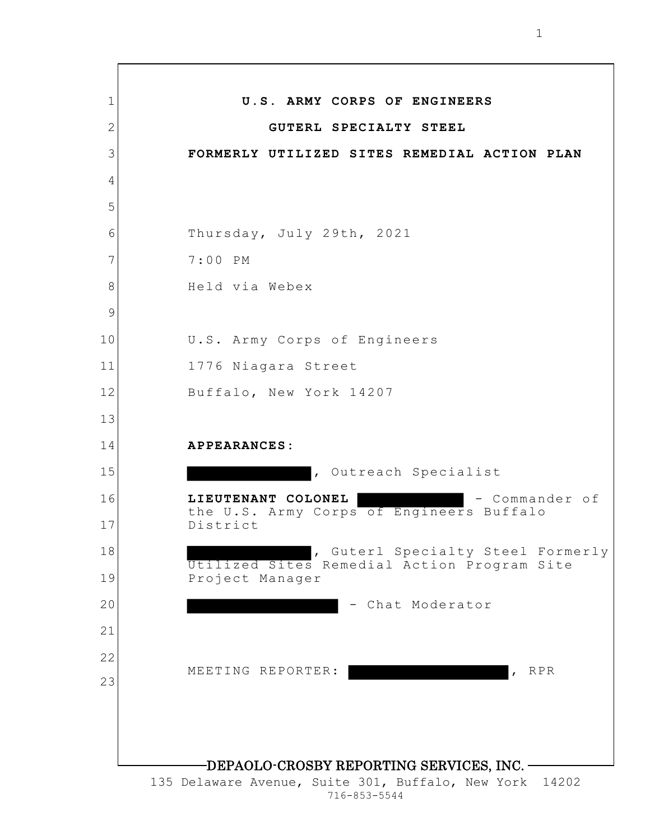1 2 3 4 5 6 7 8 9 10 11 12 13 14 15 16 17 18 19 20 21 22 23 DEPAOLO-CROSBY REPORTING SERVICES, INC. 135 Delaware Avenue, Suite 301, Buffalo, New York 14202 716-853-5544 **U.S. ARMY CORPS OF ENGINEERS GUTERL SPECIALTY STEEL FORMERLY UTILIZED SITES REMEDIAL ACTION PLAN** Thursday, July 29th, 2021 7:00 PM Held via Webex U.S. Army Corps of Engineers 1776 Niagara Street Buffalo, New York 14207 **APPEARANCES:** , Outreach Specialist **LIEUTENANT COLONEL COMMANDER 1** - Commander of the U.S. Army Corps of Engineers Buffalo District , Guterl Specialty Steel Formerly Utilized Sites Remedial Action Program Site Project Manager - Chat Moderator MEETING REPORTER:  $R = 1$ , RPR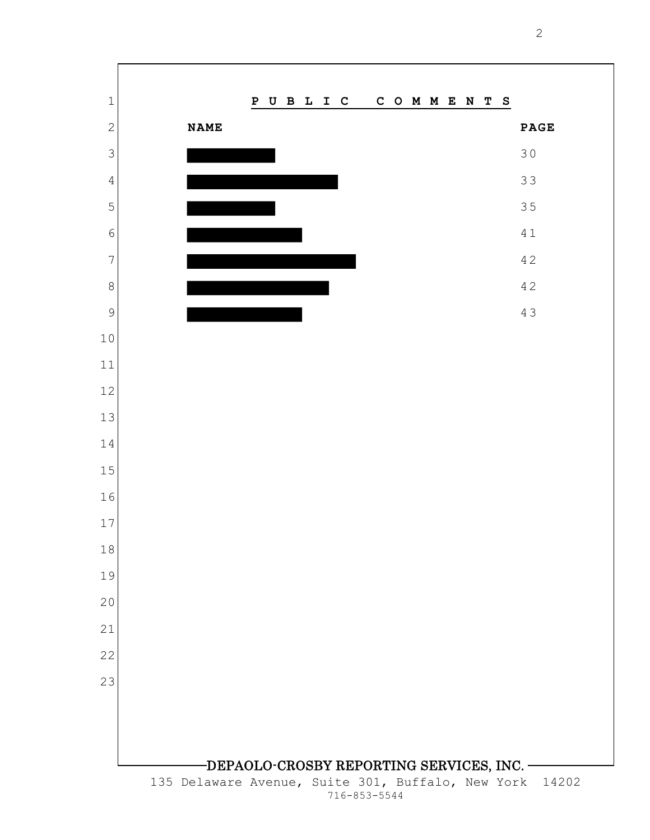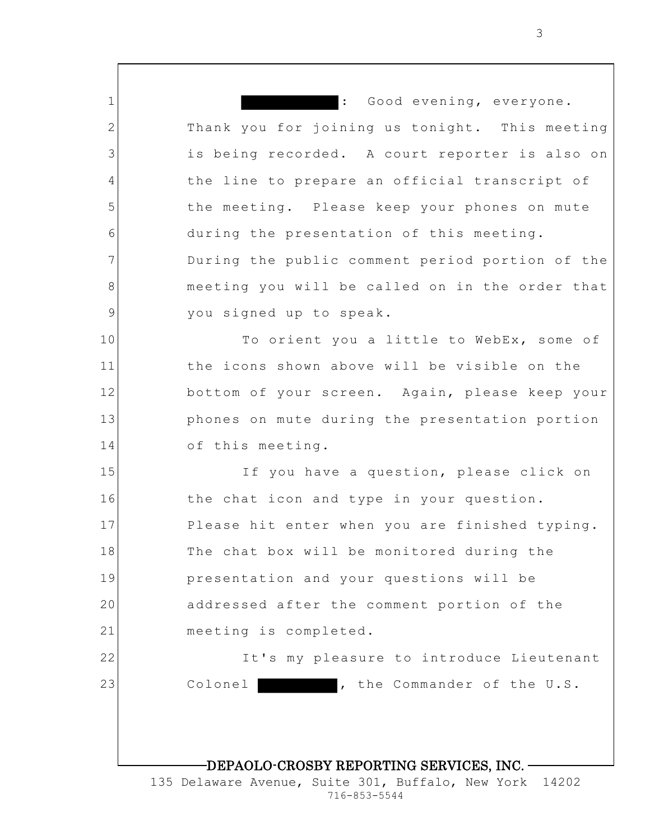1 2 3 4 5 6 7 8 9 10 11 12 13 14 15 16 17 18 19 20 21 22 23 : Good evening, everyone. Thank you for joining us tonight. This meeting is being recorded. A court reporter is also on the line to prepare an official transcript of the meeting. Please keep your phones on mute during the presentation of this meeting. During the public comment period portion of the meeting you will be called on in the order that you signed up to speak. To orient you a little to WebEx, some of the icons shown above will be visible on the bottom of your screen. Again, please keep your phones on mute during the presentation portion of this meeting. If you have a question, please click on the chat icon and type in your question. Please hit enter when you are finished typing. The chat box will be monitored during the presentation and your questions will be addressed after the comment portion of the meeting is completed. It's my pleasure to introduce Lieutenant Colonel , the Commander of the U.S.

DEPAOLO-CROSBY REPORTING SERVICES, INC. 135 Delaware Avenue, Suite 301, Buffalo, New York 14202 716-853-5544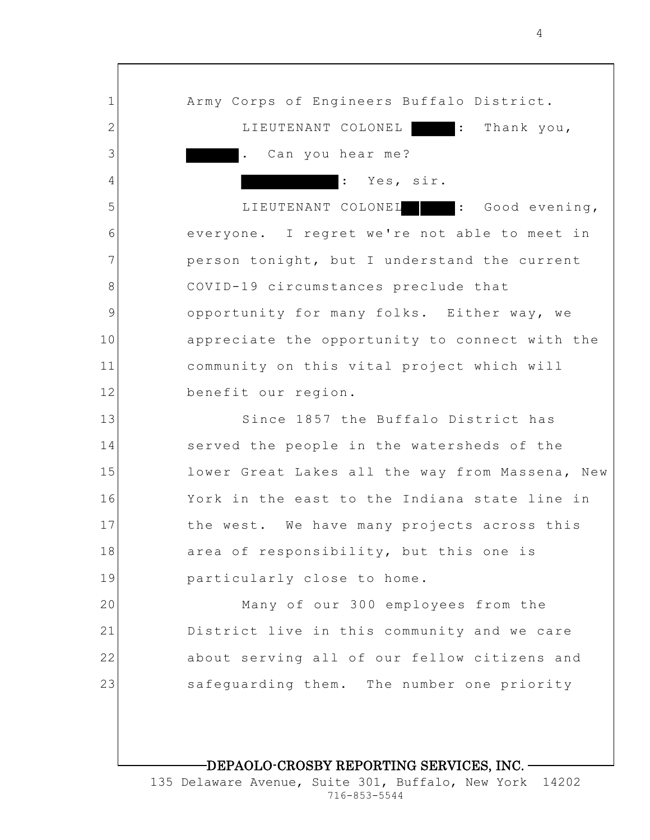1 2 3 4 5 6 7 8 9 10 11 12 13 14 15 16 17 18 19 20 21 22 23 Army Corps of Engineers Buffalo District. LIEUTENANT COLONEL : Thank you, . Can you hear me? : Yes, sir. LIEUTENANT COLONEL | | | Good evening, everyone. I regret we're not able to meet in person tonight, but I understand the current COVID-19 circumstances preclude that opportunity for many folks. Either way, we appreciate the opportunity to connect with the community on this vital project which will benefit our region. Since 1857 the Buffalo District has served the people in the watersheds of the lower Great Lakes all the way from Massena, New York in the east to the Indiana state line in the west. We have many projects across this area of responsibility, but this one is particularly close to home. Many of our 300 employees from the District live in this community and we care about serving all of our fellow citizens and safeguarding them. The number one priority

# DEPAOLO-CROSBY REPORTING SERVICES, INC.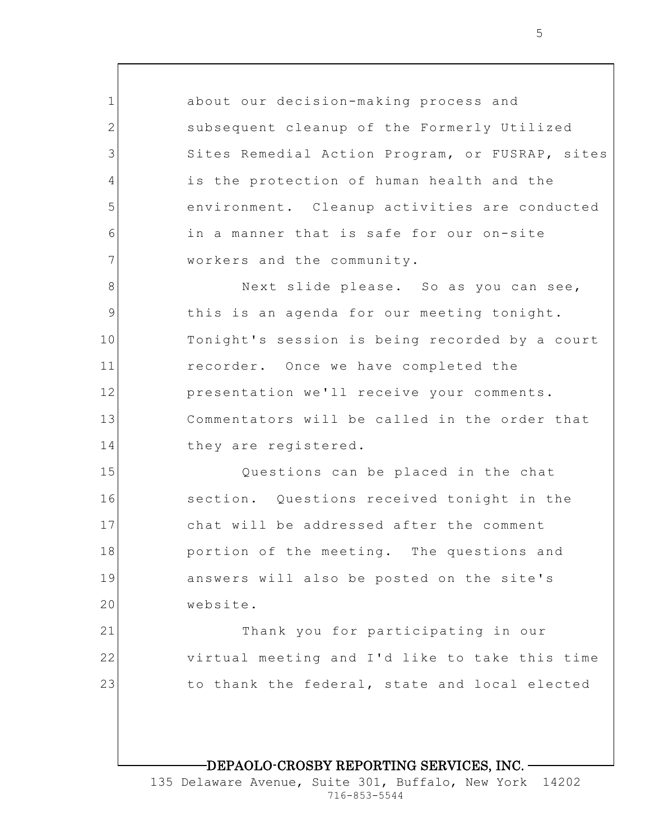1 2 3 4 5 6 7 8 9 10 11 12 13 14 15 16 17 18 19 20 about our decision-making process and subsequent cleanup of the Formerly Utilized Sites Remedial Action Program, or FUSRAP, sites is the protection of human health and the environment. Cleanup activities are conducted in a manner that is safe for our on-site workers and the community. Next slide please. So as you can see, this is an agenda for our meeting tonight. Tonight's session is being recorded by a court recorder. Once we have completed the presentation we'll receive your comments. Commentators will be called in the order that they are registered. Questions can be placed in the chat section. Questions received tonight in the chat will be addressed after the comment portion of the meeting. The questions and answers will also be posted on the site's website.

> Thank you for participating in our virtual meeting and I'd like to take this time to thank the federal, state and local elected

21

22

23

### DEPAOLO-CROSBY REPORTING SERVICES, INC.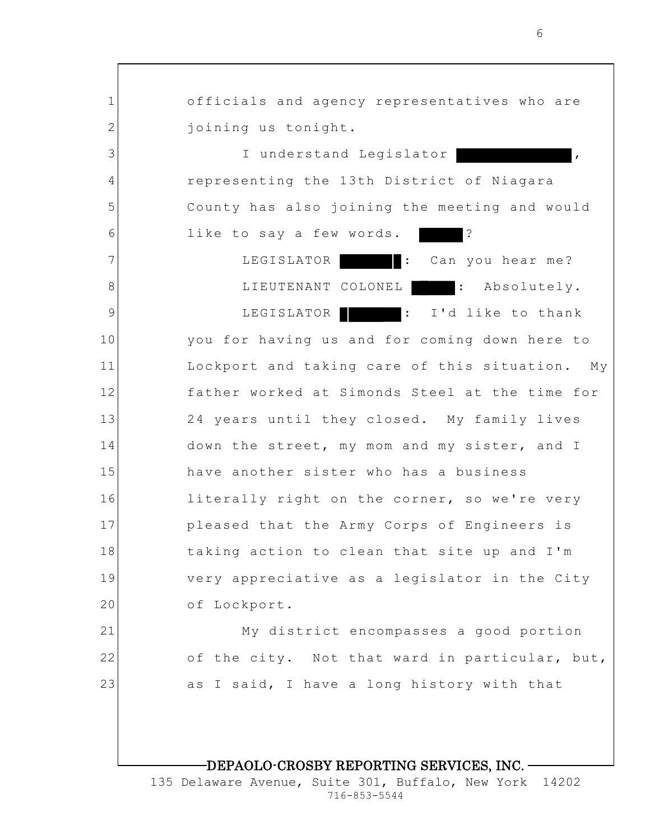1 2 3 4 5 6 7 8 9 10 11 12 13 14 15 16 17 18 19 20 21 22 23 officials and agency representatives who are joining us tonight. I understand Legislator representing the 13th District of Niagara County has also joining the meeting and would like to say a few words. LEGISLATOR : Can you hear me? LIEUTENANT COLONEL : Absolutely. LEGISLATOR : I'd like to thank you for having us and for coming down here to Lockport and taking care of this situation. My father worked at Simonds Steel at the time for 24 years until they closed. My family lives down the street, my mom and my sister, and I have another sister who has a business literally right on the corner, so we're very pleased that the Army Corps of Engineers is taking action to clean that site up and I'm very appreciative as a legislator in the City of Lockport. My district encompasses a good portion of the city. Not that ward in particular, but, as I said, I have a long history with that

DEPAOLO-CROSBY REPORTING SERVICES, INC.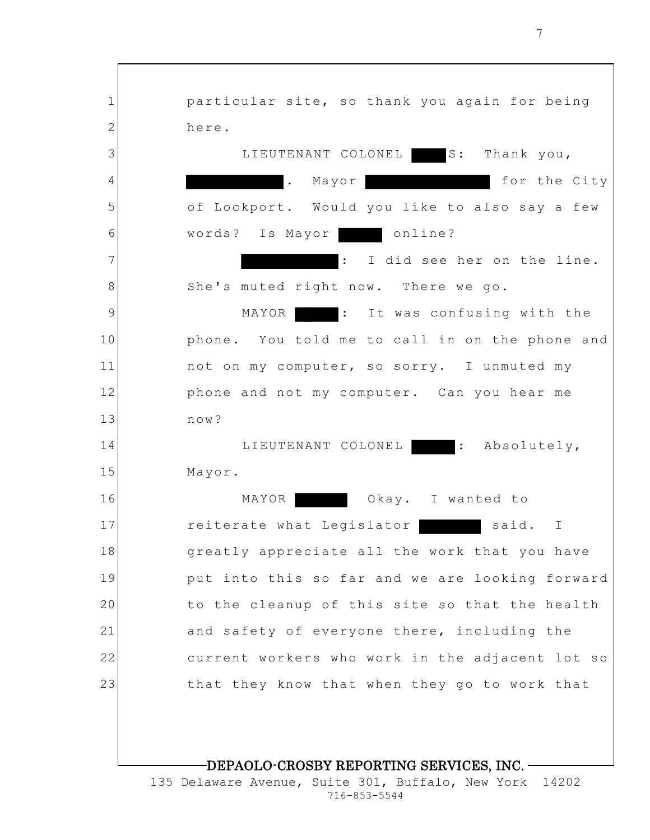1 2 3 4 5 6 7 8 9 10 11 12 13 14 15 16 17 18 19 20 21 22 23 DEPAOLO-CROSBY REPORTING SERVICES, INC. particular site, so thank you again for being here. LIEUTENANT COLONEL S: Thank you, . Mayor **for the City** of Lockport. Would you like to also say a few words? Is Mayor online? : I did see her on the line. She's muted right now. There we go. MAYOR : It was confusing with the phone. You told me to call in on the phone and not on my computer, so sorry. I unmuted my phone and not my computer. Can you hear me now? LIEUTENANT COLONEL : Absolutely, Mayor. MAYOR Okay. I wanted to reiterate what Legislator said. I greatly appreciate all the work that you have put into this so far and we are looking forward to the cleanup of this site so that the health and safety of everyone there, including the current workers who work in the adjacent lot so that they know that when they go to work that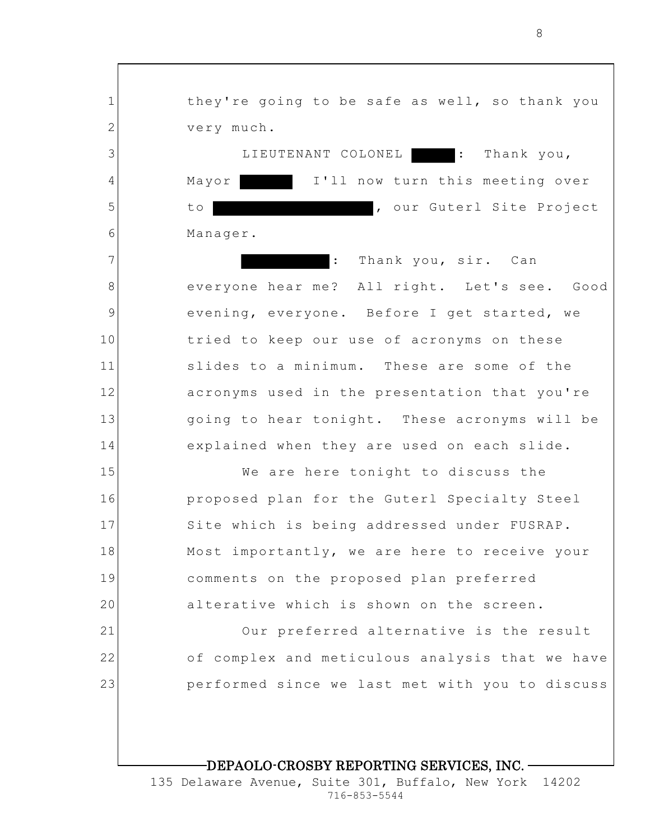1 2 3 4 5 6 7 8 9 10 11 12 13 14 15 16 17 18 19 20 21 22 23 they're going to be safe as well, so thank you very much. LIEUTENANT COLONEL | | | Thank you, Mayor I'll now turn this meeting over to , our Guterl Site Project Manager. : Thank you, sir. Can everyone hear me? All right. Let's see. Good evening, everyone. Before I get started, we tried to keep our use of acronyms on these slides to a minimum. These are some of the acronyms used in the presentation that you're going to hear tonight. These acronyms will be explained when they are used on each slide. We are here tonight to discuss the proposed plan for the Guterl Specialty Steel Site which is being addressed under FUSRAP. Most importantly, we are here to receive your comments on the proposed plan preferred alterative which is shown on the screen. Our preferred alternative is the result of complex and meticulous analysis that we have performed since we last met with you to discuss

## DEPAOLO-CROSBY REPORTING SERVICES, INC.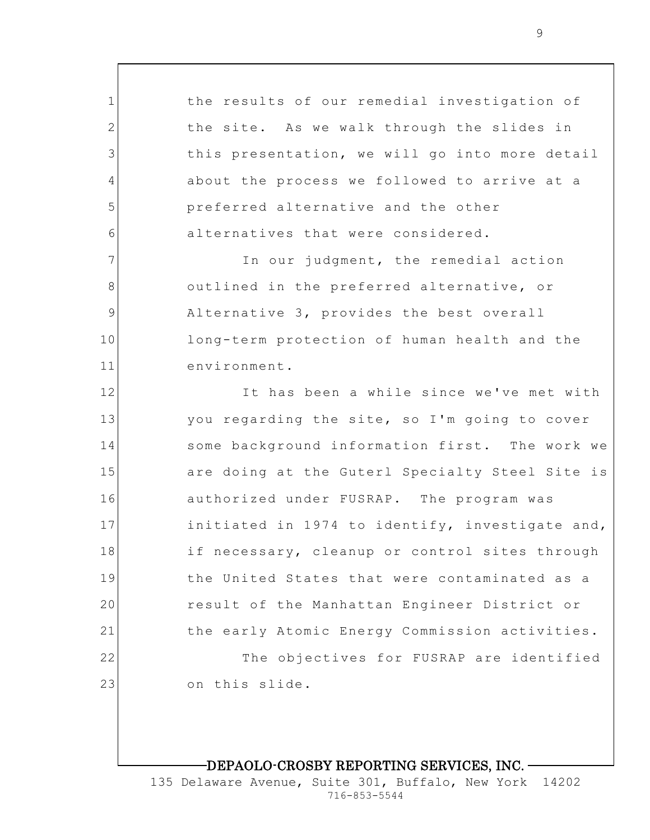1 2 3 4 5 6 7 8 9 10 11 12 13 14 15 16 17 18 19 20 21 22 23 the results of our remedial investigation of the site. As we walk through the slides in this presentation, we will go into more detail about the process we followed to arrive at a preferred alternative and the other alternatives that were considered. In our judgment, the remedial action outlined in the preferred alternative, or Alternative 3, provides the best overall long-term protection of human health and the environment. It has been a while since we've met with you regarding the site, so I'm going to cover some background information first. The work we are doing at the Guterl Specialty Steel Site is authorized under FUSRAP. The program was initiated in 1974 to identify, investigate and, if necessary, cleanup or control sites through the United States that were contaminated as a result of the Manhattan Engineer District or the early Atomic Energy Commission activities. The objectives for FUSRAP are identified on this slide.

#### DEPAOLO-CROSBY REPORTING SERVICES, INC.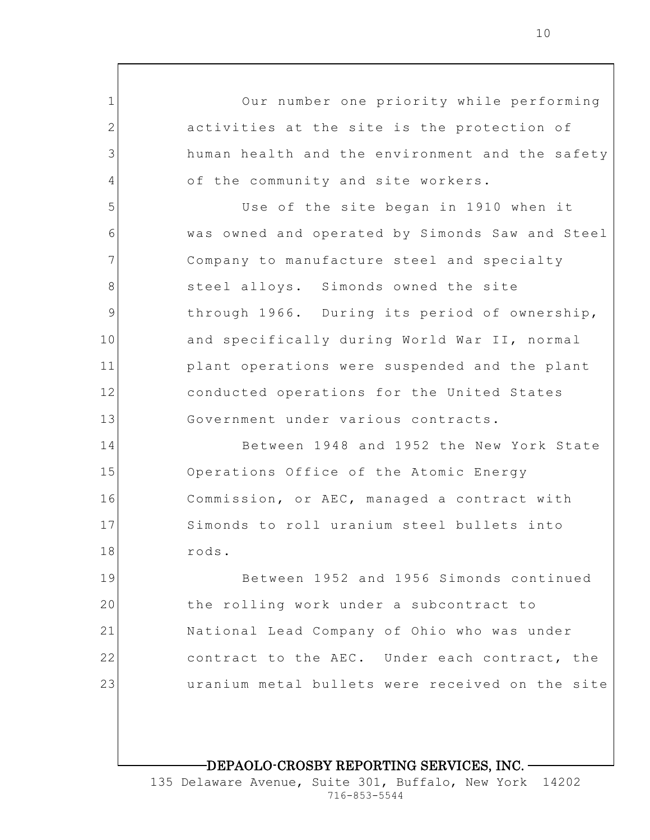Our number one priority while performing activities at the site is the protection of human health and the environment and the safety of the community and site workers.

1

2

3

4

5

6

7

8

9

10

11

12

13

Use of the site began in 1910 when it was owned and operated by Simonds Saw and Steel Company to manufacture steel and specialty steel alloys. Simonds owned the site through 1966. During its period of ownership, and specifically during World War II, normal plant operations were suspended and the plant conducted operations for the United States Government under various contracts.

14 15 16 17 18 Between 1948 and 1952 the New York State Operations Office of the Atomic Energy Commission, or AEC, managed a contract with Simonds to roll uranium steel bullets into rods.

19 20 21 22 23 Between 1952 and 1956 Simonds continued the rolling work under a subcontract to National Lead Company of Ohio who was under contract to the AEC. Under each contract, the uranium metal bullets were received on the site

### DEPAOLO-CROSBY REPORTING SERVICES, INC.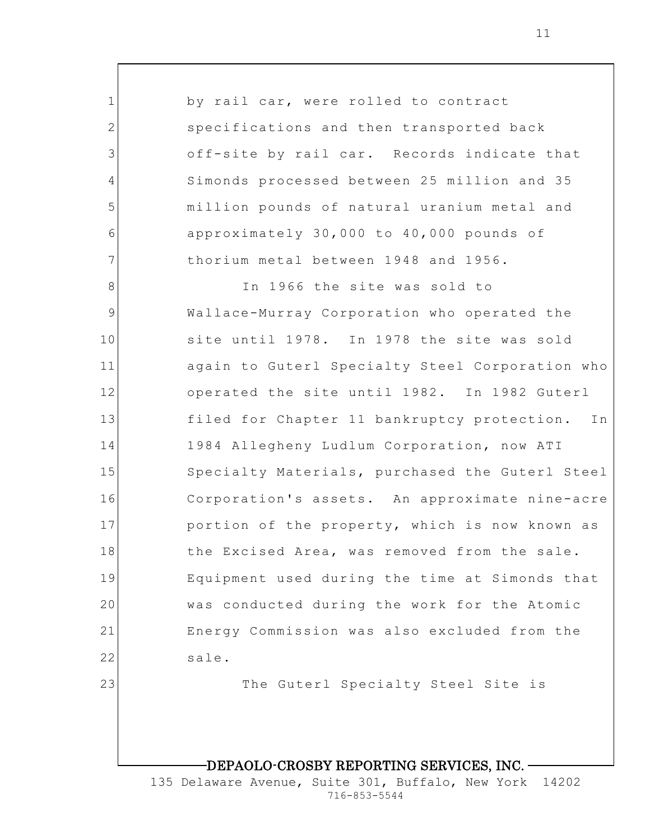1 2 3 4 5 6 7 8 9 10 11 12 13 14 15 16 17 18 19 20 21 22 by rail car, were rolled to contract specifications and then transported back off-site by rail car. Records indicate that Simonds processed between 25 million and 35 million pounds of natural uranium metal and approximately 30,000 to 40,000 pounds of thorium metal between 1948 and 1956. In 1966 the site was sold to Wallace-Murray Corporation who operated the site until 1978. In 1978 the site was sold again to Guterl Specialty Steel Corporation who operated the site until 1982. In 1982 Guterl filed for Chapter 11 bankruptcy protection. In 1984 Allegheny Ludlum Corporation, now ATI Specialty Materials, purchased the Guterl Steel Corporation's assets. An approximate nine-acre portion of the property, which is now known as the Excised Area, was removed from the sale. Equipment used during the time at Simonds that was conducted during the work for the Atomic Energy Commission was also excluded from the sale.

The Guterl Specialty Steel Site is

### DEPAOLO-CROSBY REPORTING SERVICES, INC.

23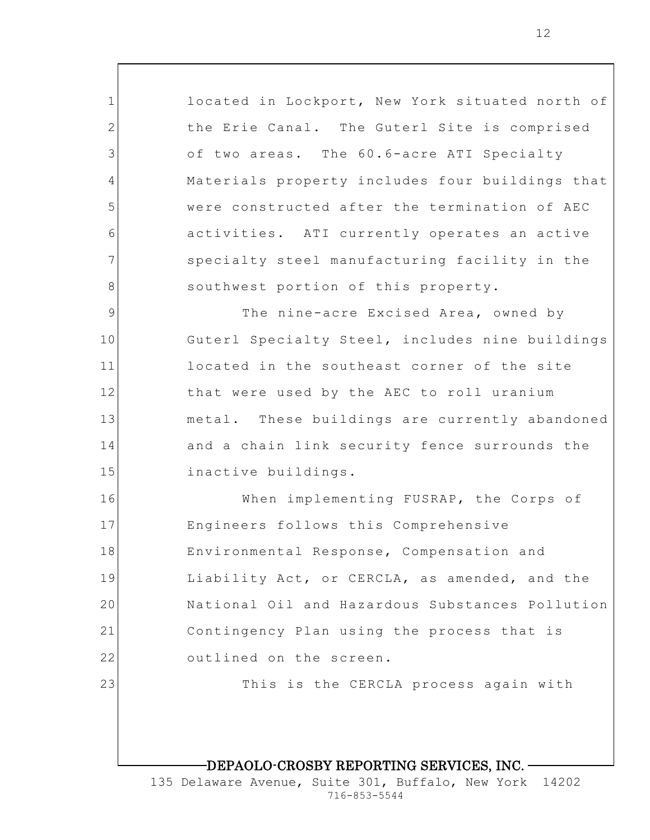1 2 3 4 5 6 7 8 9 10 11 12 13 14 15 16 17 18 19 20 21 22 23 located in Lockport, New York situated north of the Erie Canal. The Guterl Site is comprised of two areas. The 60.6-acre ATI Specialty Materials property includes four buildings that were constructed after the termination of AEC activities. ATI currently operates an active specialty steel manufacturing facility in the southwest portion of this property. The nine-acre Excised Area, owned by Guterl Specialty Steel, includes nine buildings located in the southeast corner of the site that were used by the AEC to roll uranium metal. These buildings are currently abandoned and a chain link security fence surrounds the inactive buildings. When implementing FUSRAP, the Corps of Engineers follows this Comprehensive Environmental Response, Compensation and Liability Act, or CERCLA, as amended, and the National Oil and Hazardous Substances Pollution Contingency Plan using the process that is outlined on the screen. This is the CERCLA process again with

### DEPAOLO-CROSBY REPORTING SERVICES, INC.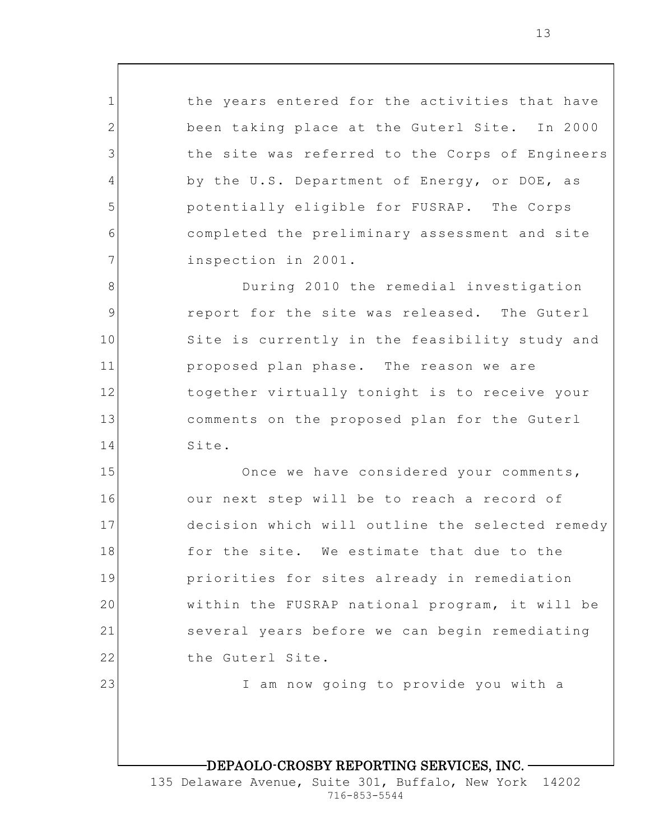the years entered for the activities that have been taking place at the Guterl Site. In 2000 the site was referred to the Corps of Engineers by the U.S. Department of Energy, or DOE, as potentially eligible for FUSRAP. The Corps completed the preliminary assessment and site inspection in 2001.

1

2

3

4

5

6

7

23

8 9 10 11 12 13 14 During 2010 the remedial investigation report for the site was released. The Guterl Site is currently in the feasibility study and proposed plan phase. The reason we are together virtually tonight is to receive your comments on the proposed plan for the Guterl Site.

15 16 17 18 19 20 21 22 Once we have considered your comments, our next step will be to reach a record of decision which will outline the selected remedy for the site. We estimate that due to the priorities for sites already in remediation within the FUSRAP national program, it will be several years before we can begin remediating the Guterl Site.

I am now going to provide you with a

## DEPAOLO-CROSBY REPORTING SERVICES, INC.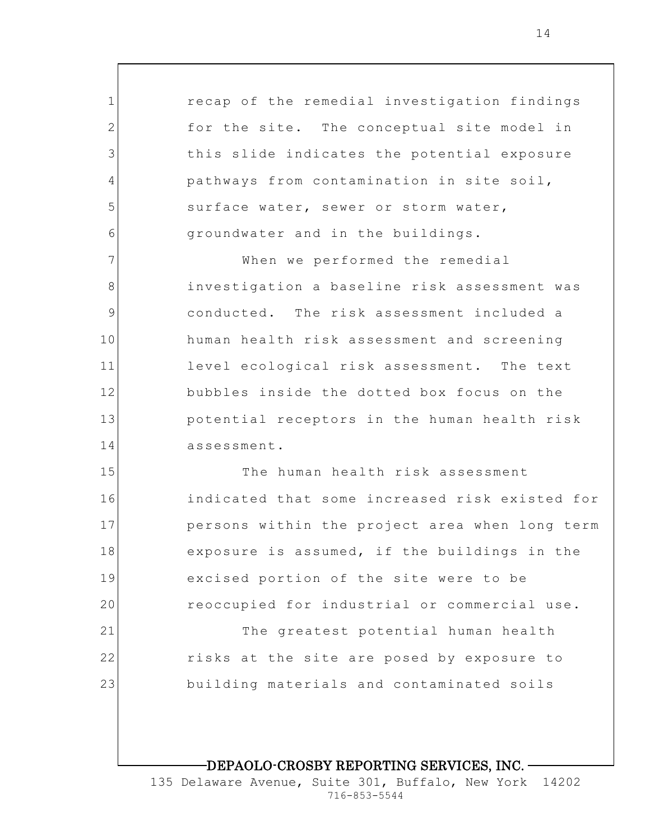recap of the remedial investigation findings for the site. The conceptual site model in this slide indicates the potential exposure pathways from contamination in site soil, surface water, sewer or storm water, groundwater and in the buildings. When we performed the remedial investigation a baseline risk assessment was conducted. The risk assessment included a human health risk assessment and screening level ecological risk assessment. The text bubbles inside the dotted box focus on the potential receptors in the human health risk assessment. The human health risk assessment indicated that some increased risk existed for persons within the project area when long term exposure is assumed, if the buildings in the excised portion of the site were to be

1

2

3

4

5

6

7

8

9

10

11

12

13

14

15

16

17

18

19

20

21

22

23

reoccupied for industrial or commercial use. The greatest potential human health risks at the site are posed by exposure to building materials and contaminated soils

DEPAOLO-CROSBY REPORTING SERVICES, INC.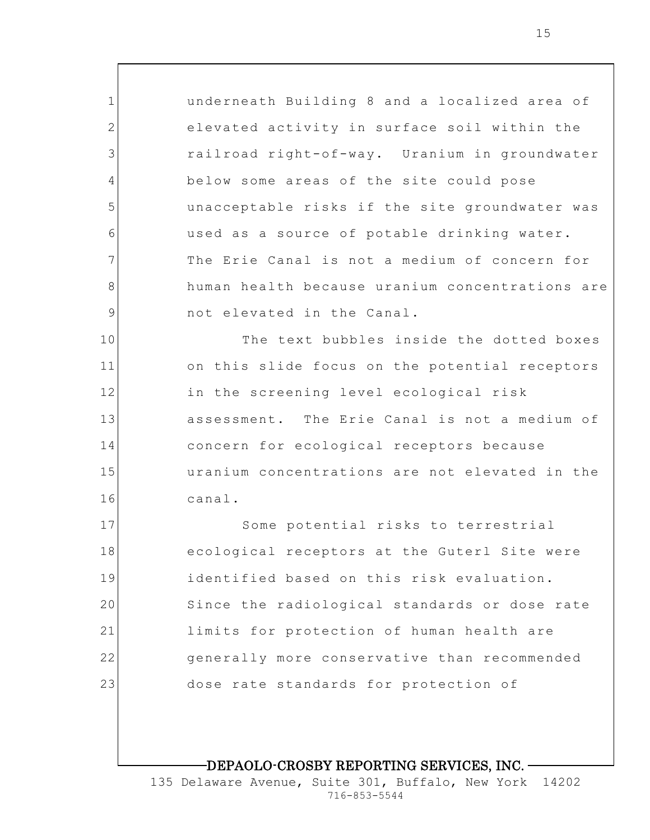1 2 3 4 5 6 7 8 9 10 11 12 13 14 15 16 17 18 underneath Building 8 and a localized area of elevated activity in surface soil within the railroad right-of-way. Uranium in groundwater below some areas of the site could pose unacceptable risks if the site groundwater was used as a source of potable drinking water. The Erie Canal is not a medium of concern for human health because uranium concentrations are not elevated in the Canal. The text bubbles inside the dotted boxes on this slide focus on the potential receptors in the screening level ecological risk assessment. The Erie Canal is not a medium of concern for ecological receptors because uranium concentrations are not elevated in the canal. Some potential risks to terrestrial

19 20 21 22 23 ecological receptors at the Guterl Site were identified based on this risk evaluation. Since the radiological standards or dose rate limits for protection of human health are generally more conservative than recommended dose rate standards for protection of

DEPAOLO-CROSBY REPORTING SERVICES, INC.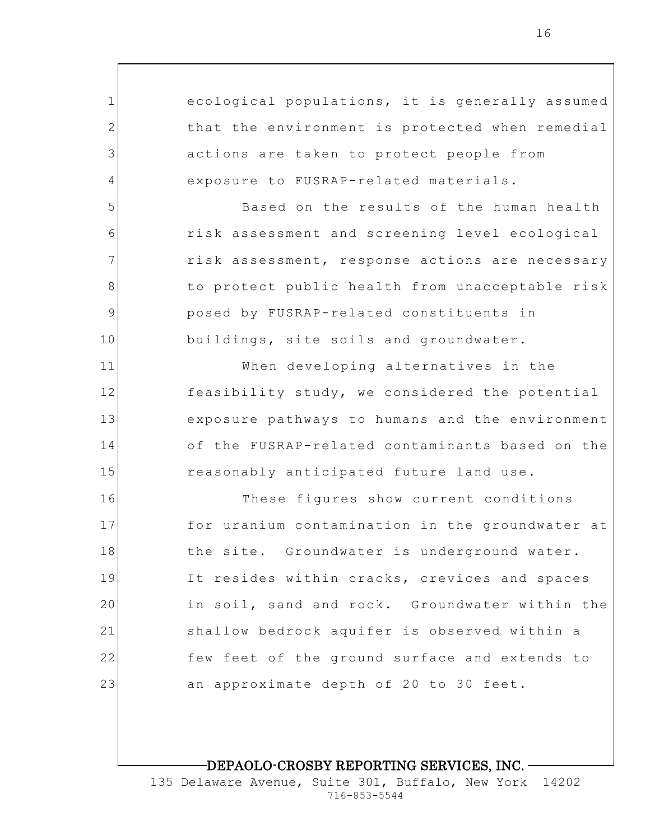ecological populations, it is generally assumed that the environment is protected when remedial actions are taken to protect people from exposure to FUSRAP-related materials. Based on the results of the human health risk assessment and screening level ecological risk assessment, response actions are necessary to protect public health from unacceptable risk posed by FUSRAP-related constituents in buildings, site soils and groundwater. When developing alternatives in the feasibility study, we considered the potential exposure pathways to humans and the environment

1

2

3

4

5

6

7

8

9

10

11

12

13

14

15

16

17

18

19

20

21

22

23

of the FUSRAP-related contaminants based on the reasonably anticipated future land use.

These figures show current conditions for uranium contamination in the groundwater at the site. Groundwater is underground water. It resides within cracks, crevices and spaces in soil, sand and rock. Groundwater within the shallow bedrock aquifer is observed within a few feet of the ground surface and extends to an approximate depth of 20 to 30 feet.

DEPAOLO-CROSBY REPORTING SERVICES, INC.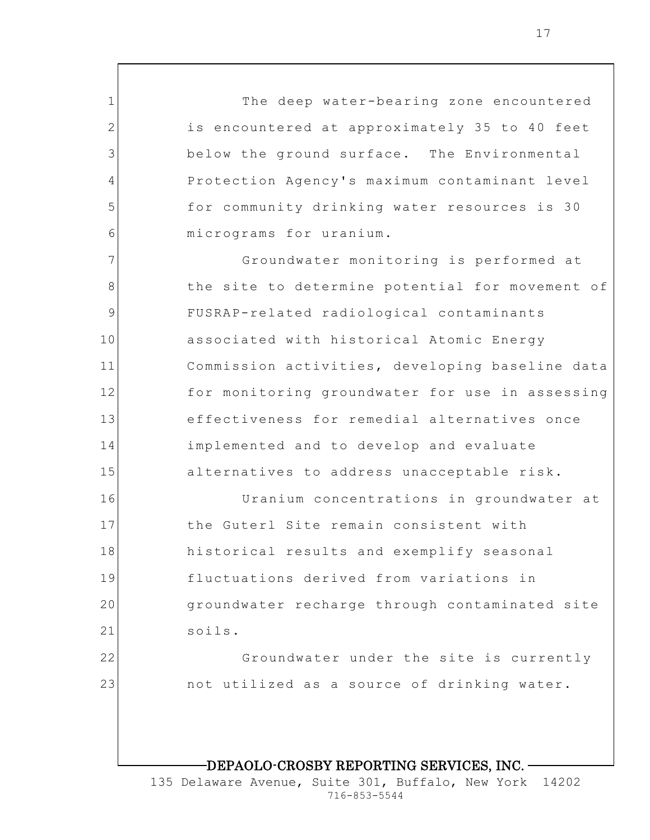The deep water-bearing zone encountered is encountered at approximately 35 to 40 feet below the ground surface. The Environmental Protection Agency's maximum contaminant level for community drinking water resources is 30 micrograms for uranium.

1

2

3

4

5

6

7

8

9

10

11

12

13

14

15

16

17

18

19

20

21

22

23

Groundwater monitoring is performed at the site to determine potential for movement of FUSRAP-related radiological contaminants associated with historical Atomic Energy Commission activities, developing baseline data for monitoring groundwater for use in assessing effectiveness for remedial alternatives once implemented and to develop and evaluate alternatives to address unacceptable risk.

Uranium concentrations in groundwater at the Guterl Site remain consistent with historical results and exemplify seasonal fluctuations derived from variations in groundwater recharge through contaminated site soils.

> Groundwater under the site is currently not utilized as a source of drinking water.

#### DEPAOLO-CROSBY REPORTING SERVICES, INC.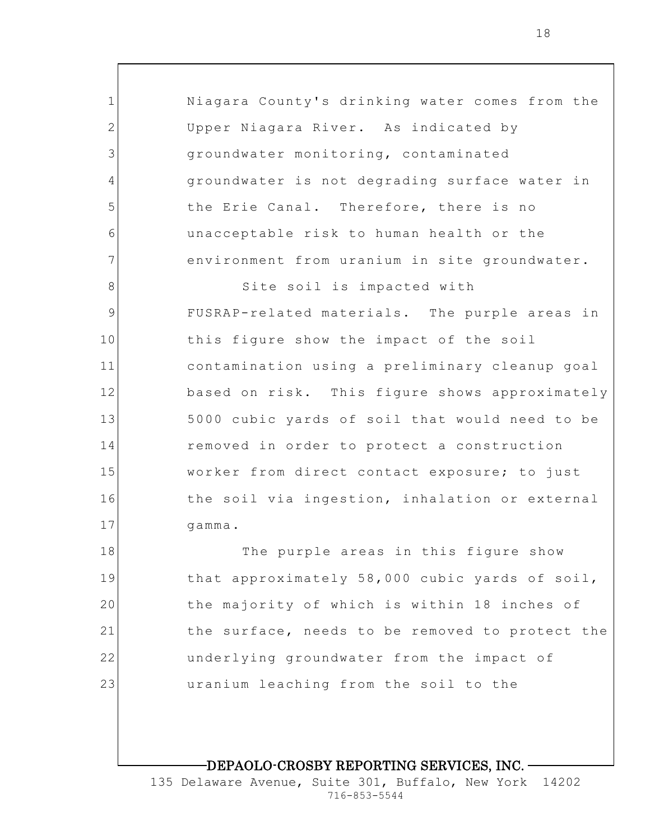1 2 3 4 5 6 7 8 9 10 11 12 13 14 15 16 17 18 19 20 21 22 23 Niagara County's drinking water comes from the Upper Niagara River. As indicated by groundwater monitoring, contaminated groundwater is not degrading surface water in the Erie Canal. Therefore, there is no unacceptable risk to human health or the environment from uranium in site groundwater. Site soil is impacted with FUSRAP-related materials. The purple areas in this figure show the impact of the soil contamination using a preliminary cleanup goal based on risk. This figure shows approximately 5000 cubic yards of soil that would need to be removed in order to protect a construction worker from direct contact exposure; to just the soil via ingestion, inhalation or external gamma. The purple areas in this figure show that approximately 58,000 cubic yards of soil, the majority of which is within 18 inches of the surface, needs to be removed to protect the underlying groundwater from the impact of uranium leaching from the soil to the

DEPAOLO-CROSBY REPORTING SERVICES, INC.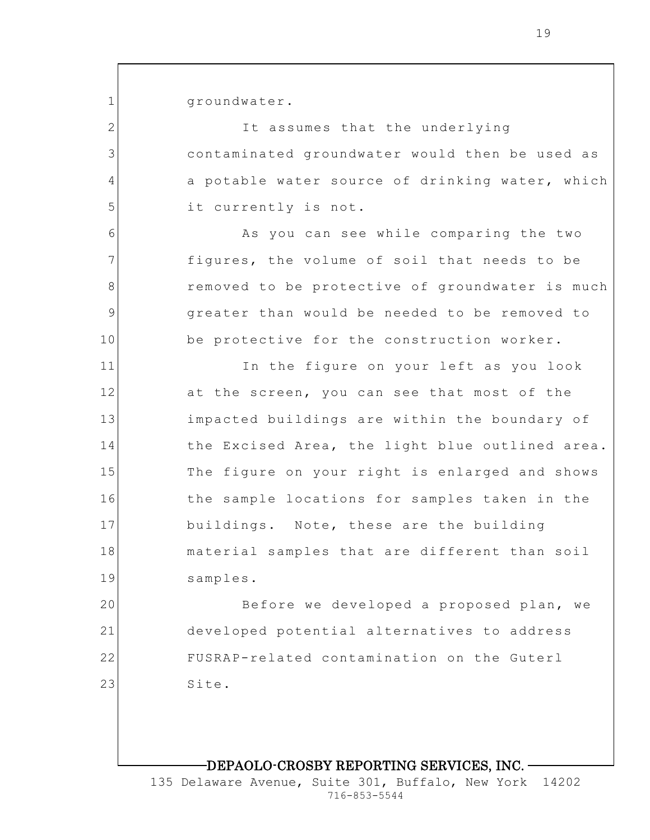1

2

3

4

5

6

7

8

9

10

groundwater.

It assumes that the underlying contaminated groundwater would then be used as a potable water source of drinking water, which it currently is not.

As you can see while comparing the two figures, the volume of soil that needs to be removed to be protective of groundwater is much greater than would be needed to be removed to be protective for the construction worker.

11 12 13 14 15 16 17 18 19 In the figure on your left as you look at the screen, you can see that most of the impacted buildings are within the boundary of the Excised Area, the light blue outlined area. The figure on your right is enlarged and shows the sample locations for samples taken in the buildings. Note, these are the building material samples that are different than soil samples.

20 21 22 23 Before we developed a proposed plan, we developed potential alternatives to address FUSRAP-related contamination on the Guterl Site.

#### DEPAOLO-CROSBY REPORTING SERVICES, INC.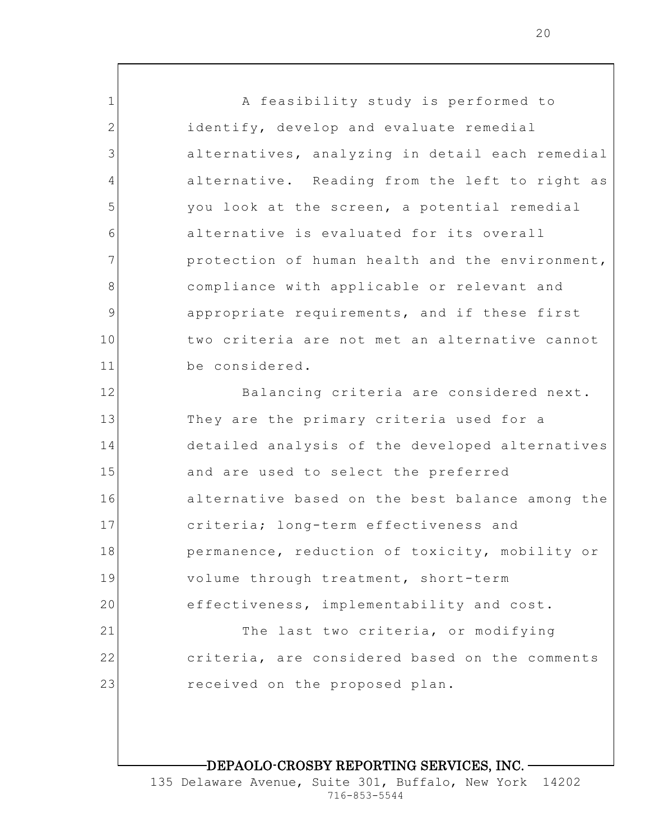1 2 3 4 5 6 7 8 9 10 11 12 13 14 15 16 17 18 19 20 21 22 23 A feasibility study is performed to identify, develop and evaluate remedial alternatives, analyzing in detail each remedial alternative. Reading from the left to right as you look at the screen, a potential remedial alternative is evaluated for its overall protection of human health and the environment, compliance with applicable or relevant and appropriate requirements, and if these first two criteria are not met an alternative cannot be considered. Balancing criteria are considered next. They are the primary criteria used for a detailed analysis of the developed alternatives and are used to select the preferred alternative based on the best balance among the criteria; long-term effectiveness and permanence, reduction of toxicity, mobility or volume through treatment, short-term effectiveness, implementability and cost. The last two criteria, or modifying criteria, are considered based on the comments received on the proposed plan.

DEPAOLO-CROSBY REPORTING SERVICES, INC.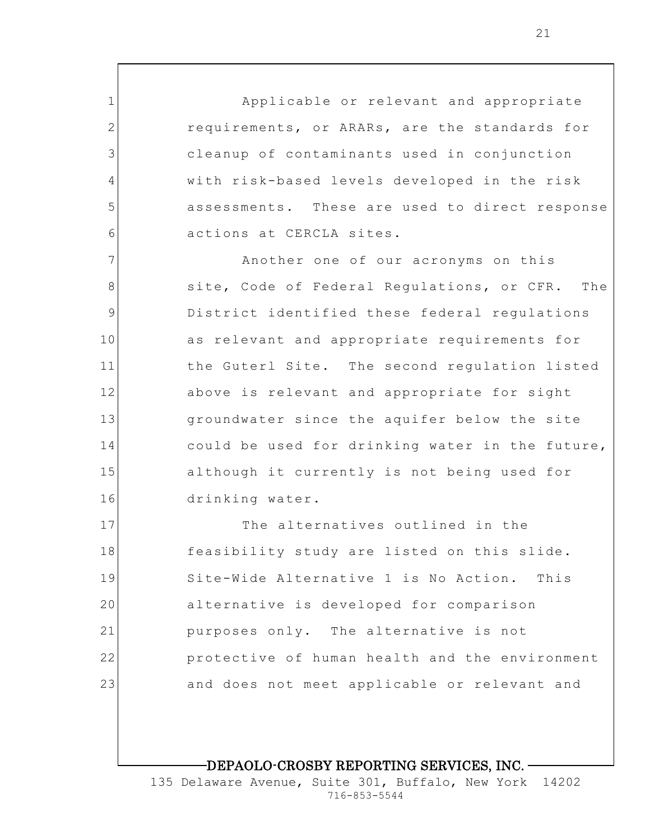Applicable or relevant and appropriate requirements, or ARARs, are the standards for cleanup of contaminants used in conjunction with risk-based levels developed in the risk assessments. These are used to direct response actions at CERCLA sites.

1

2

3

4

5

6

7 8 9 10 11 12 13 14 15 16 Another one of our acronyms on this site, Code of Federal Regulations, or CFR. The District identified these federal regulations as relevant and appropriate requirements for the Guterl Site. The second regulation listed above is relevant and appropriate for sight groundwater since the aquifer below the site could be used for drinking water in the future, although it currently is not being used for drinking water.

17 18 19 20 21 22 23 The alternatives outlined in the feasibility study are listed on this slide. Site-Wide Alternative 1 is No Action. This alternative is developed for comparison purposes only. The alternative is not protective of human health and the environment and does not meet applicable or relevant and

#### DEPAOLO-CROSBY REPORTING SERVICES, INC.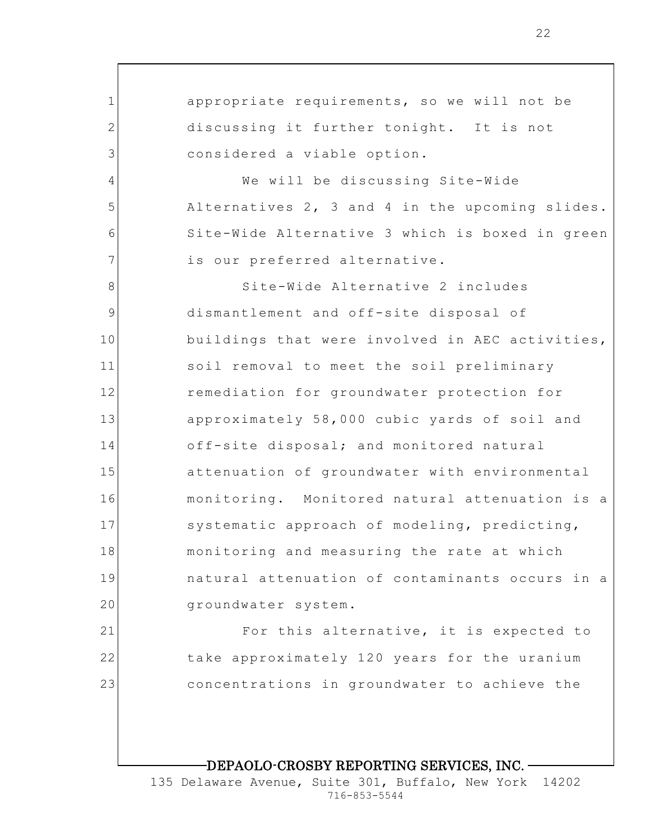1 2 3 4 5 6 7 8 9 10 11 12 13 14 15 16 17 18 19 20 21 22 23 appropriate requirements, so we will not be discussing it further tonight. It is not considered a viable option. We will be discussing Site-Wide Alternatives 2, 3 and 4 in the upcoming slides. Site-Wide Alternative 3 which is boxed in green is our preferred alternative. Site-Wide Alternative 2 includes dismantlement and off-site disposal of buildings that were involved in AEC activities, soil removal to meet the soil preliminary remediation for groundwater protection for approximately 58,000 cubic yards of soil and off-site disposal; and monitored natural attenuation of groundwater with environmental monitoring. Monitored natural attenuation is a systematic approach of modeling, predicting, monitoring and measuring the rate at which natural attenuation of contaminants occurs in a groundwater system. For this alternative, it is expected to take approximately 120 years for the uranium concentrations in groundwater to achieve the

DEPAOLO-CROSBY REPORTING SERVICES, INC.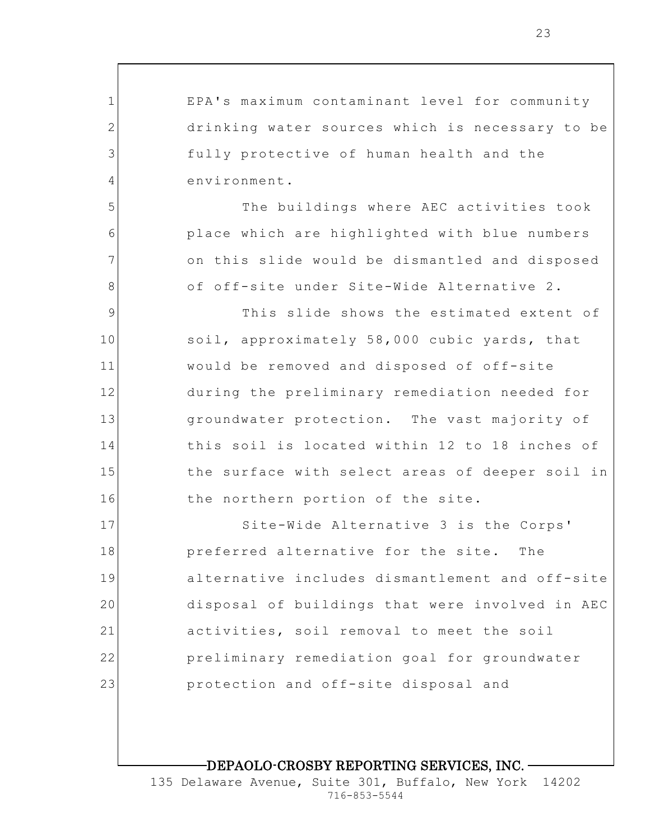| $\mathbf 1$  | EPA's maximum contaminant level for community   |
|--------------|-------------------------------------------------|
| $\mathbf{2}$ | drinking water sources which is necessary to be |
| 3            | fully protective of human health and the        |
| 4            | environment.                                    |
| 5            | The buildings where AEC activities took         |
| 6            | place which are highlighted with blue numbers   |
| 7            | on this slide would be dismantled and disposed  |
| 8            | of off-site under Site-Wide Alternative 2.      |
| 9            | This slide shows the estimated extent of        |
| 10           | soil, approximately 58,000 cubic yards, that    |
| 11           | would be removed and disposed of off-site       |
| 12           | during the preliminary remediation needed for   |
| 13           | groundwater protection. The vast majority of    |
| 14           | this soil is located within 12 to 18 inches of  |
| 15           | the surface with select areas of deeper soil in |
| 16           | the northern portion of the site.               |
| 17           | Site-Wide Alternative 3 is the Corps'           |
| 18           | preferred alternative for the site. The         |
| 19           | alternative includes dismantlement and off-site |
| 20           | disposal of buildings that were involved in AEC |
| 21           | activities, soil removal to meet the soil       |
| 22           | preliminary remediation goal for groundwater    |
| 23           | protection and off-site disposal and            |
|              |                                                 |

 $\overline{\phantom{a}}$ 

DEPAOLO-CROSBY REPORTING SERVICES, INC.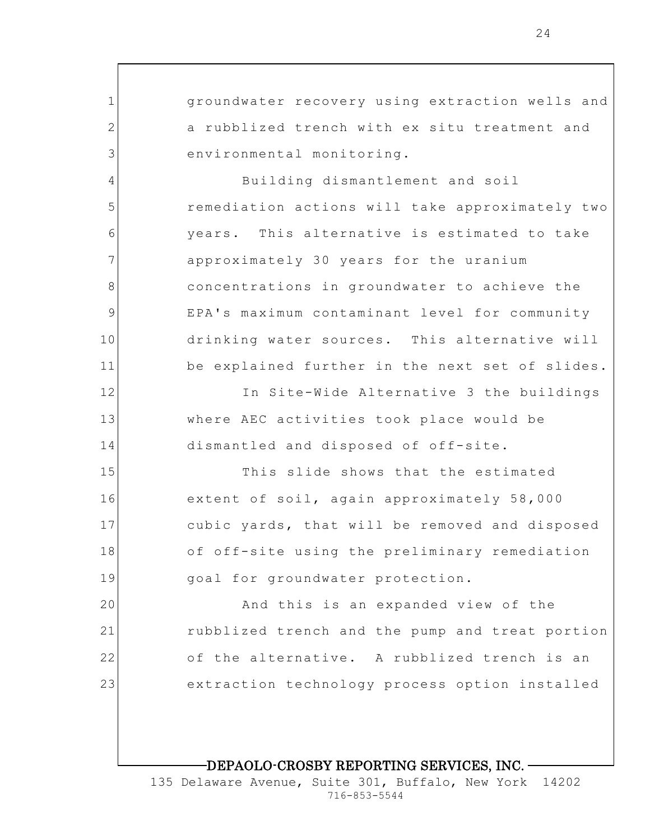1 2 3 4 5 6 7 8 9 10 11 12 13 14 15 16 17 18 19 20 21 22 23 groundwater recovery using extraction wells and a rubblized trench with ex situ treatment and environmental monitoring. Building dismantlement and soil remediation actions will take approximately two years. This alternative is estimated to take approximately 30 years for the uranium concentrations in groundwater to achieve the EPA's maximum contaminant level for community drinking water sources. This alternative will be explained further in the next set of slides. In Site-Wide Alternative 3 the buildings where AEC activities took place would be dismantled and disposed of off-site. This slide shows that the estimated extent of soil, again approximately 58,000 cubic yards, that will be removed and disposed of off-site using the preliminary remediation goal for groundwater protection. And this is an expanded view of the rubblized trench and the pump and treat portion of the alternative. A rubblized trench is an extraction technology process option installed

## DEPAOLO-CROSBY REPORTING SERVICES, INC.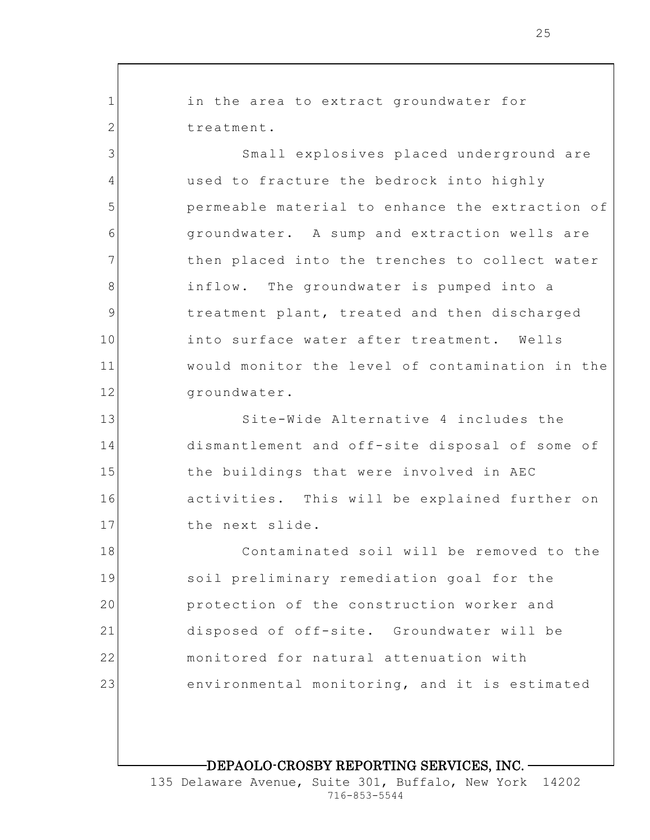1 2 3 4 5 6 7 8 9 10 11 12 13 14 15 16 17 18 19 20 21 22 23 in the area to extract groundwater for treatment. Small explosives placed underground are used to fracture the bedrock into highly permeable material to enhance the extraction of groundwater. A sump and extraction wells are then placed into the trenches to collect water inflow. The groundwater is pumped into a treatment plant, treated and then discharged into surface water after treatment. Wells would monitor the level of contamination in the groundwater. Site-Wide Alternative 4 includes the dismantlement and off-site disposal of some of the buildings that were involved in AEC activities. This will be explained further on the next slide. Contaminated soil will be removed to the soil preliminary remediation goal for the protection of the construction worker and disposed of off-site. Groundwater will be monitored for natural attenuation with environmental monitoring, and it is estimated

DEPAOLO-CROSBY REPORTING SERVICES, INC.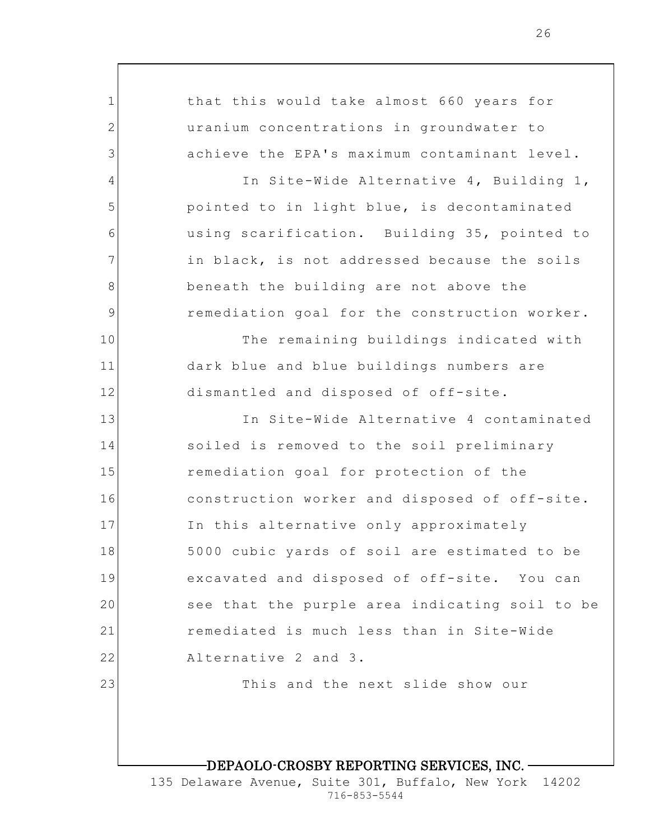| $\mathbf{1}$   | that this would take almost 660 years for      |
|----------------|------------------------------------------------|
| $\mathbf{2}$   | uranium concentrations in groundwater to       |
| 3              | achieve the EPA's maximum contaminant level.   |
| $\overline{4}$ | In Site-Wide Alternative 4, Building 1,        |
| 5              | pointed to in light blue, is decontaminated    |
| 6              | using scarification. Building 35, pointed to   |
| 7              | in black, is not addressed because the soils   |
| 8              | beneath the building are not above the         |
| $\mathcal{G}$  | remediation goal for the construction worker.  |
| 10             | The remaining buildings indicated with         |
| 11             | dark blue and blue buildings numbers are       |
| 12             | dismantled and disposed of off-site.           |
| 13             | In Site-Wide Alternative 4 contaminated        |
| 14             | soiled is removed to the soil preliminary      |
| 15             | remediation goal for protection of the         |
| 16             | construction worker and disposed of off-site.  |
| 17             | In this alternative only approximately         |
| 18             | 5000 cubic yards of soil are estimated to be   |
| 19             | excavated and disposed of off-site. You can    |
| 20             | see that the purple area indicating soil to be |
| 21             | remediated is much less than in Site-Wide      |
| 22             | Alternative 2 and 3.                           |
| 23             | This and the next slide show our               |
|                |                                                |
|                |                                                |
|                |                                                |

DEPAOLO-CROSBY REPORTING SERVICES, INC.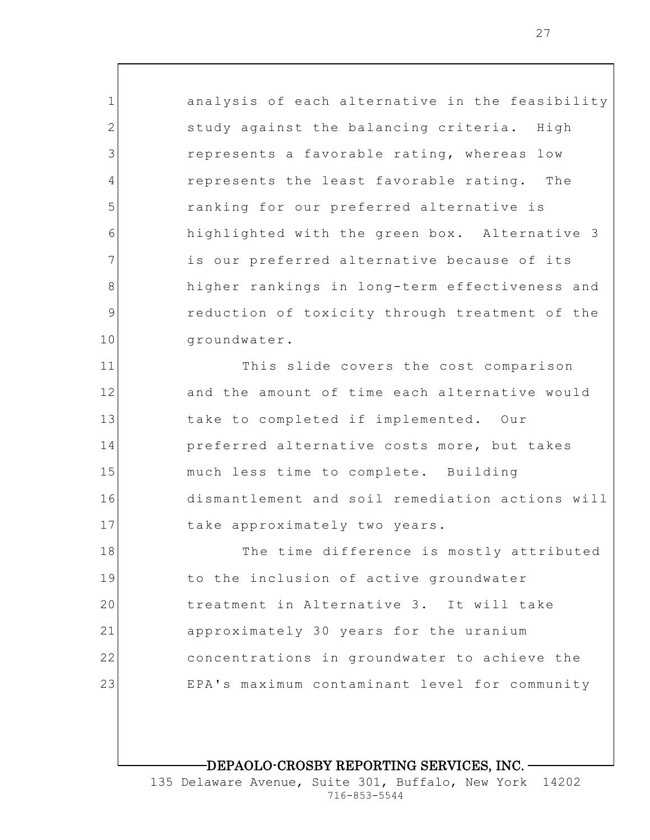1 2 3 4 5 6 7 8 9 10 11 12 13 14 15 16 17 18 19 20 21 22 23 analysis of each alternative in the feasibility study against the balancing criteria. High represents a favorable rating, whereas low represents the least favorable rating. The ranking for our preferred alternative is highlighted with the green box. Alternative 3 is our preferred alternative because of its higher rankings in long-term effectiveness and reduction of toxicity through treatment of the groundwater. This slide covers the cost comparison and the amount of time each alternative would take to completed if implemented. Our preferred alternative costs more, but takes much less time to complete. Building dismantlement and soil remediation actions will take approximately two years. The time difference is mostly attributed to the inclusion of active groundwater treatment in Alternative 3. It will take approximately 30 years for the uranium concentrations in groundwater to achieve the EPA's maximum contaminant level for community

DEPAOLO-CROSBY REPORTING SERVICES, INC.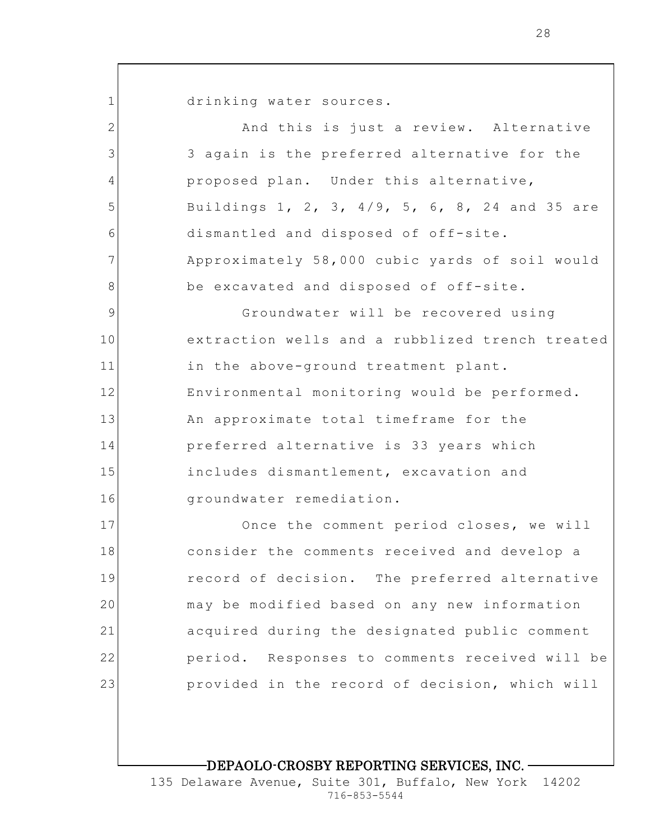1 2 3 4 5 6 7 8 9 10 11 12 13 14 15 16 17 18 19 20 21 22 23 drinking water sources. And this is just a review. Alternative 3 again is the preferred alternative for the proposed plan. Under this alternative, Buildings 1, 2, 3, 4/9, 5, 6, 8, 24 and 35 are dismantled and disposed of off-site. Approximately 58,000 cubic yards of soil would be excavated and disposed of off-site. Groundwater will be recovered using extraction wells and a rubblized trench treated in the above-ground treatment plant. Environmental monitoring would be performed. An approximate total timeframe for the preferred alternative is 33 years which includes dismantlement, excavation and groundwater remediation. Once the comment period closes, we will consider the comments received and develop a record of decision. The preferred alternative may be modified based on any new information acquired during the designated public comment period. Responses to comments received will be provided in the record of decision, which will

DEPAOLO-CROSBY REPORTING SERVICES, INC.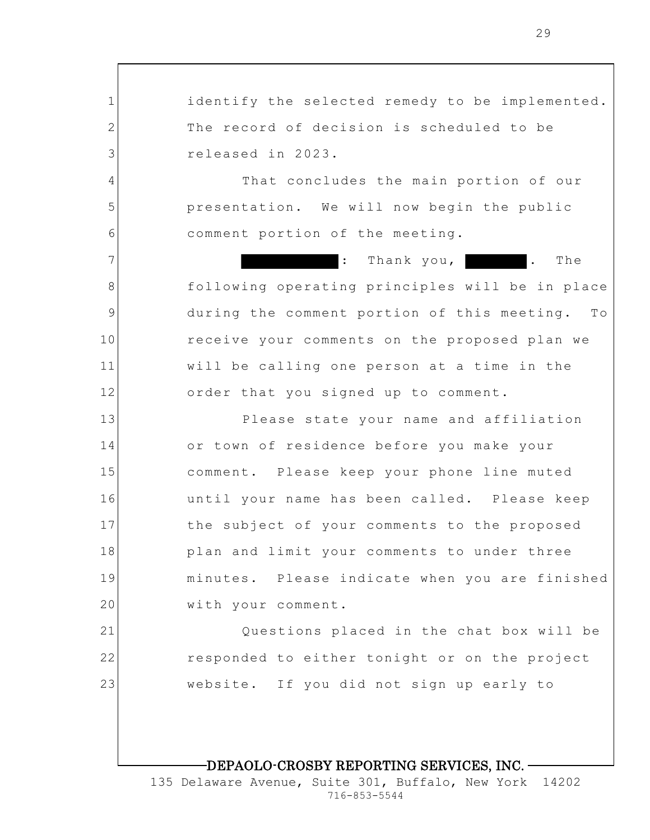identify the selected remedy to be implemented. The record of decision is scheduled to be released in 2023.

1

2

3

4

5

6

7

8

9

10

11

12

21

22

23

That concludes the main portion of our presentation. We will now begin the public comment portion of the meeting.

: Thank you, **.** The following operating principles will be in place during the comment portion of this meeting. To receive your comments on the proposed plan we will be calling one person at a time in the order that you signed up to comment.

13 14 15 16 17 18 19 20 Please state your name and affiliation or town of residence before you make your comment. Please keep your phone line muted until your name has been called. Please keep the subject of your comments to the proposed plan and limit your comments to under three minutes. Please indicate when you are finished with your comment.

Questions placed in the chat box will be responded to either tonight or on the project website. If you did not sign up early to

## DEPAOLO-CROSBY REPORTING SERVICES, INC.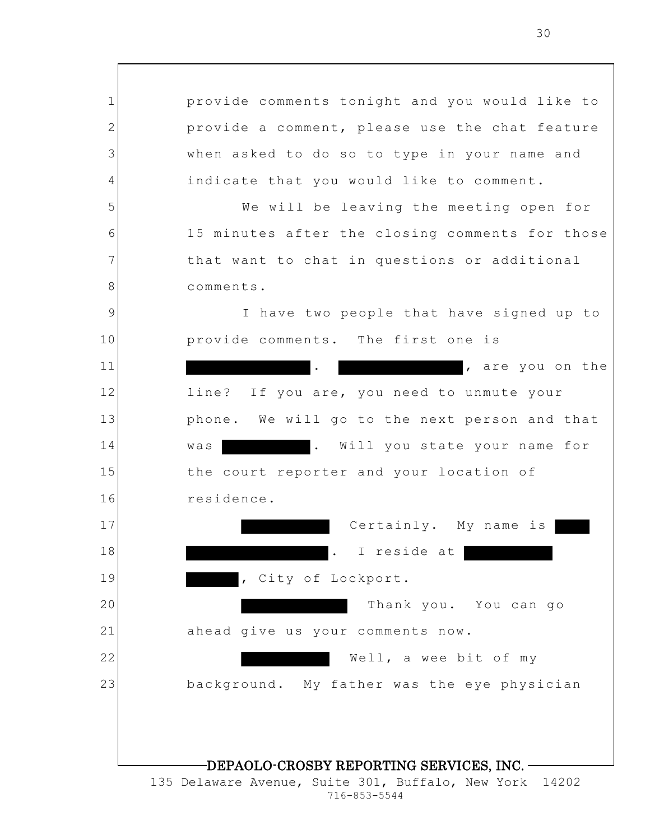1 2 3 4 5 6 7 8 9 10 11 12 13 14 15 16 17 18 19 20 21 22 23 DEPAOLO-CROSBY REPORTING SERVICES, INC. 135 Delaware Avenue, Suite 301, Buffalo, New York 14202 provide comments tonight and you would like to provide a comment, please use the chat feature when asked to do so to type in your name and indicate that you would like to comment. We will be leaving the meeting open for 15 minutes after the closing comments for those that want to chat in questions or additional comments. I have two people that have signed up to provide comments. The first one is , are you on the line? If you are, you need to unmute your phone. We will go to the next person and that was . Will you state your name for the court reporter and your location of residence. Certainly. My name is . I reside at City of Lockport. Thank you. You can go ahead give us your comments now. Well, a wee bit of my background. My father was the eye physician

716-853-5544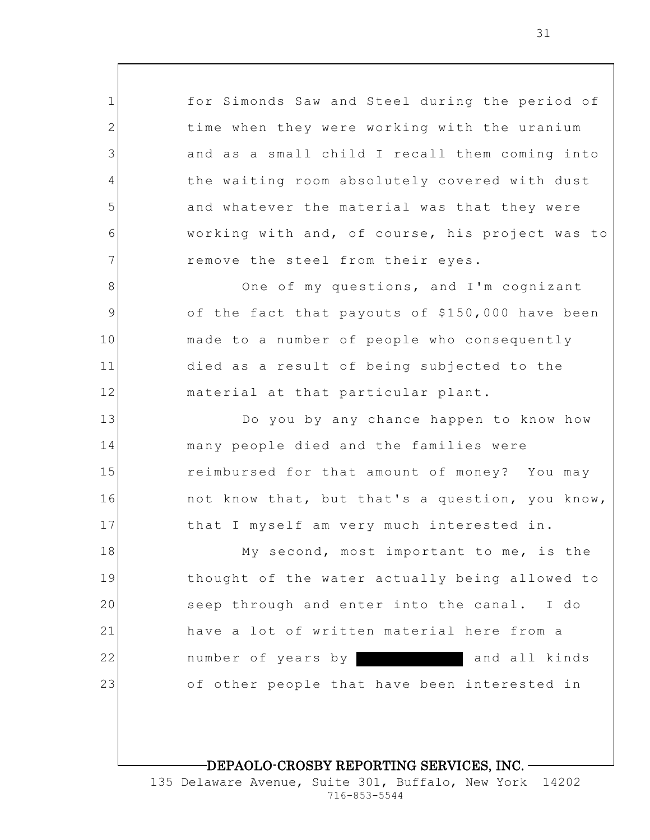for Simonds Saw and Steel during the period of time when they were working with the uranium and as a small child I recall them coming into the waiting room absolutely covered with dust and whatever the material was that they were working with and, of course, his project was to remove the steel from their eyes.

1

2

3

4

5

6

7

8

9

10

11

12

13

14

15

16

17

One of my questions, and I'm cognizant of the fact that payouts of \$150,000 have been made to a number of people who consequently died as a result of being subjected to the material at that particular plant.

Do you by any chance happen to know how many people died and the families were reimbursed for that amount of money? You may not know that, but that's a question, you know, that I myself am very much interested in.

18 19 20 21 22 23 My second, most important to me, is the thought of the water actually being allowed to seep through and enter into the canal. I do have a lot of written material here from a number of years by and all kinds of other people that have been interested in

### DEPAOLO-CROSBY REPORTING SERVICES, INC.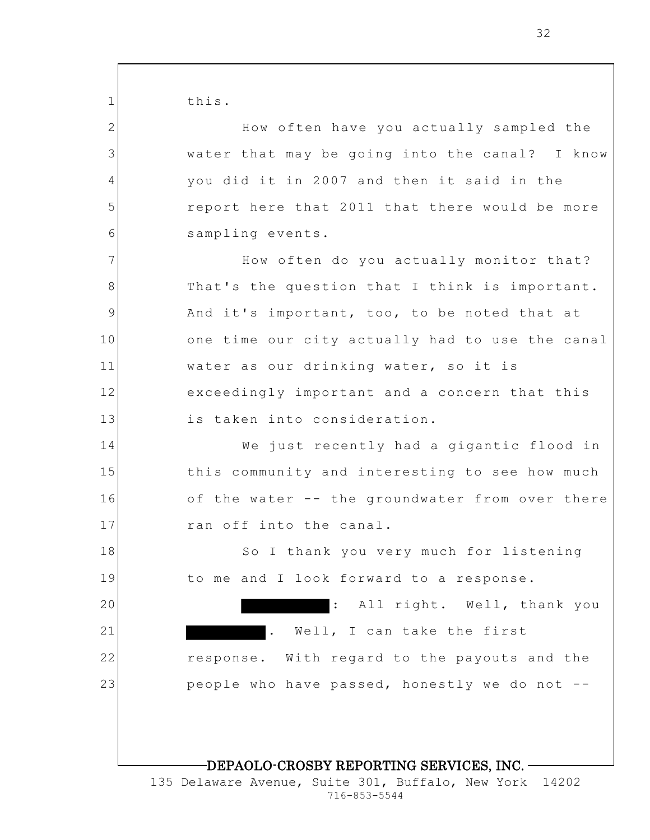this.

1

2

3

4

5

6

7

14

15

16

17

18

19

20

21

22

23

How often have you actually sampled the water that may be going into the canal? I know you did it in 2007 and then it said in the report here that 2011 that there would be more sampling events. How often do you actually monitor that?

8 9 10 11 12 13 That's the question that I think is important. And it's important, too, to be noted that at one time our city actually had to use the canal water as our drinking water, so it is exceedingly important and a concern that this is taken into consideration.

We just recently had a gigantic flood in this community and interesting to see how much of the water -- the groundwater from over there ran off into the canal.

So I thank you very much for listening to me and I look forward to a response.

: All right. Well, thank you Well, I can take the first response. With regard to the payouts and the people who have passed, honestly we do not --

## DEPAOLO-CROSBY REPORTING SERVICES, INC.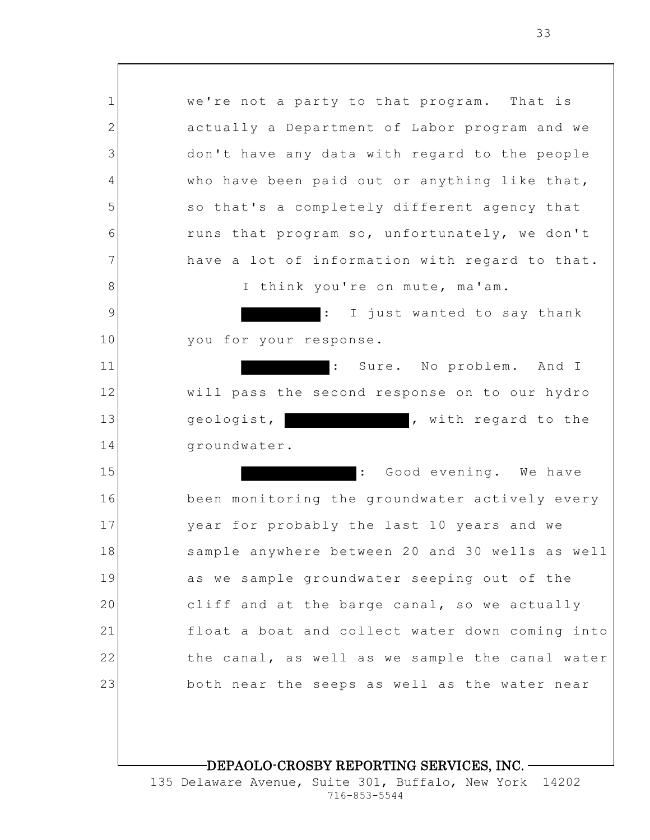1 2 3 4 5 6 7 8 9 10 11 12 13 14 15 16 17 18 19 20 21 22 23 we're not a party to that program. That is actually a Department of Labor program and we don't have any data with regard to the people who have been paid out or anything like that, so that's a completely different agency that runs that program so, unfortunately, we don't have a lot of information with regard to that. I think you're on mute, ma'am. : I just wanted to say thank you for your response. : Sure. No problem. And I will pass the second response on to our hydro geologist, , with regard to the groundwater. Good evening. We have been monitoring the groundwater actively every year for probably the last 10 years and we sample anywhere between 20 and 30 wells as well as we sample groundwater seeping out of the cliff and at the barge canal, so we actually float a boat and collect water down coming into the canal, as well as we sample the canal water both near the seeps as well as the water near

### DEPAOLO-CROSBY REPORTING SERVICES, INC.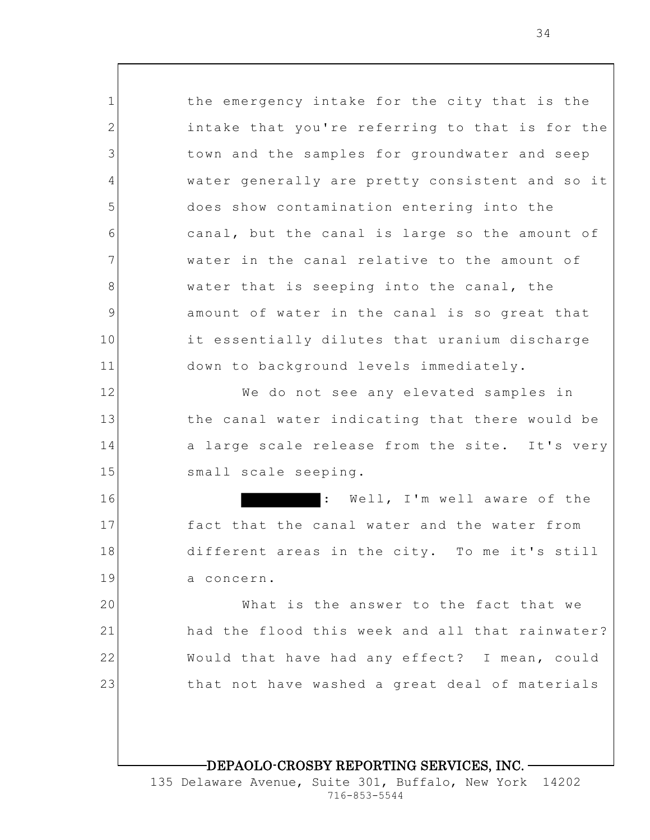1 2 3 4 5 6 7 8 9 10 11 12 13 14 15 16 17 18 19 20 21 22 23 the emergency intake for the city that is the intake that you're referring to that is for the town and the samples for groundwater and seep water generally are pretty consistent and so it does show contamination entering into the canal, but the canal is large so the amount of water in the canal relative to the amount of water that is seeping into the canal, the amount of water in the canal is so great that it essentially dilutes that uranium discharge down to background levels immediately. We do not see any elevated samples in the canal water indicating that there would be a large scale release from the site. It's very small scale seeping. : Well, I'm well aware of the fact that the canal water and the water from different areas in the city. To me it's still a concern. What is the answer to the fact that we had the flood this week and all that rainwater? Would that have had any effect? I mean, could that not have washed a great deal of materials

### DEPAOLO-CROSBY REPORTING SERVICES, INC.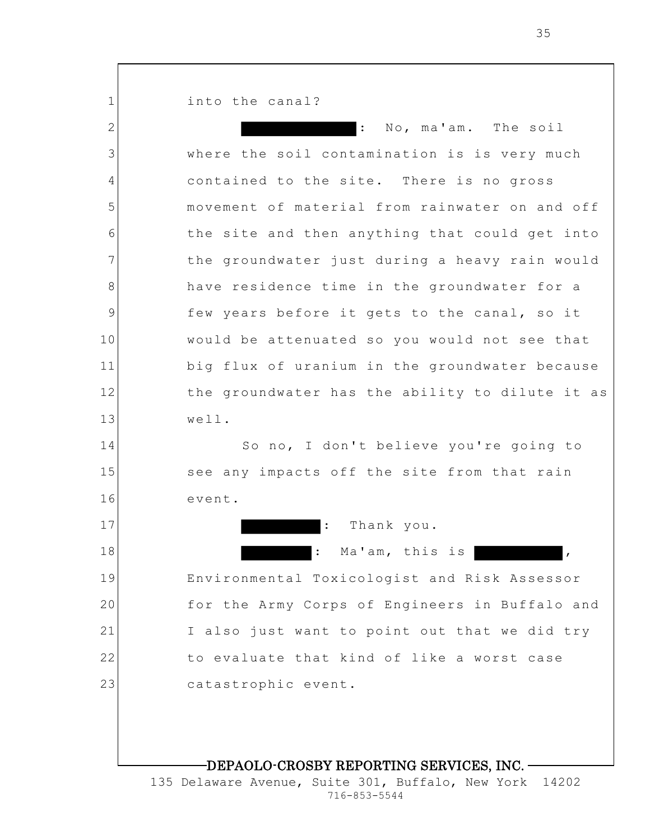into the canal?

1

2 3 4 5 6 7 8 9 10 11 12 13 14 15 16 17 18 19 20 21 22 23 : No, ma'am. The soil where the soil contamination is is very much contained to the site. There is no gross movement of material from rainwater on and off the site and then anything that could get into the groundwater just during a heavy rain would have residence time in the groundwater for a few years before it gets to the canal, so it would be attenuated so you would not see that big flux of uranium in the groundwater because the groundwater has the ability to dilute it as well. So no, I don't believe you're going to see any impacts off the site from that rain event. : Thank you. Ma'am, this is Environmental Toxicologist and Risk Assessor for the Army Corps of Engineers in Buffalo and I also just want to point out that we did try to evaluate that kind of like a worst case catastrophic event.

## DEPAOLO-CROSBY REPORTING SERVICES, INC.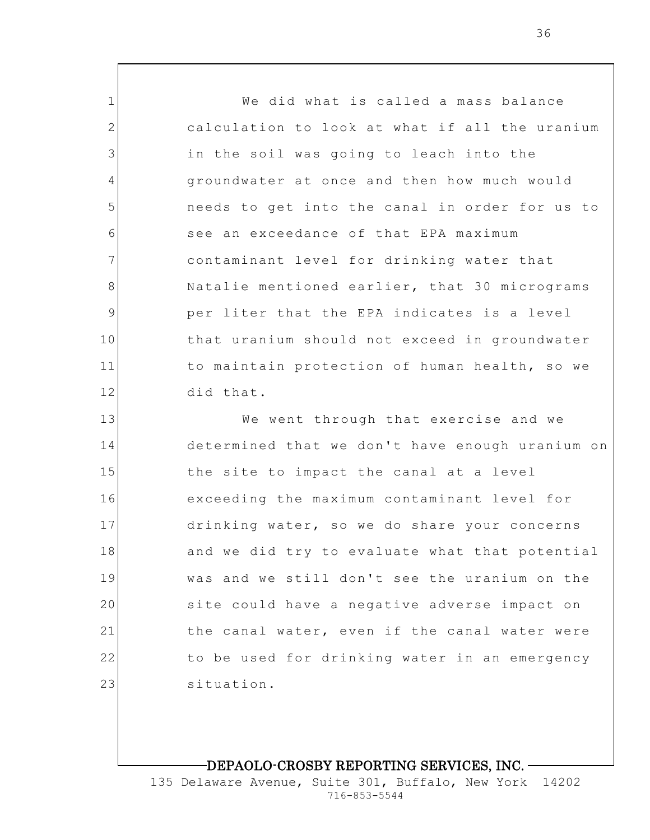1 2 3 4 5 6 7 8 9 10 11 12 13 14 15 16 17 18 19 20 21 22 23 We did what is called a mass balance calculation to look at what if all the uranium in the soil was going to leach into the groundwater at once and then how much would needs to get into the canal in order for us to see an exceedance of that EPA maximum contaminant level for drinking water that Natalie mentioned earlier, that 30 micrograms per liter that the EPA indicates is a level that uranium should not exceed in groundwater to maintain protection of human health, so we did that. We went through that exercise and we determined that we don't have enough uranium on the site to impact the canal at a level exceeding the maximum contaminant level for drinking water, so we do share your concerns and we did try to evaluate what that potential was and we still don't see the uranium on the site could have a negative adverse impact on the canal water, even if the canal water were to be used for drinking water in an emergency situation.

DEPAOLO-CROSBY REPORTING SERVICES, INC.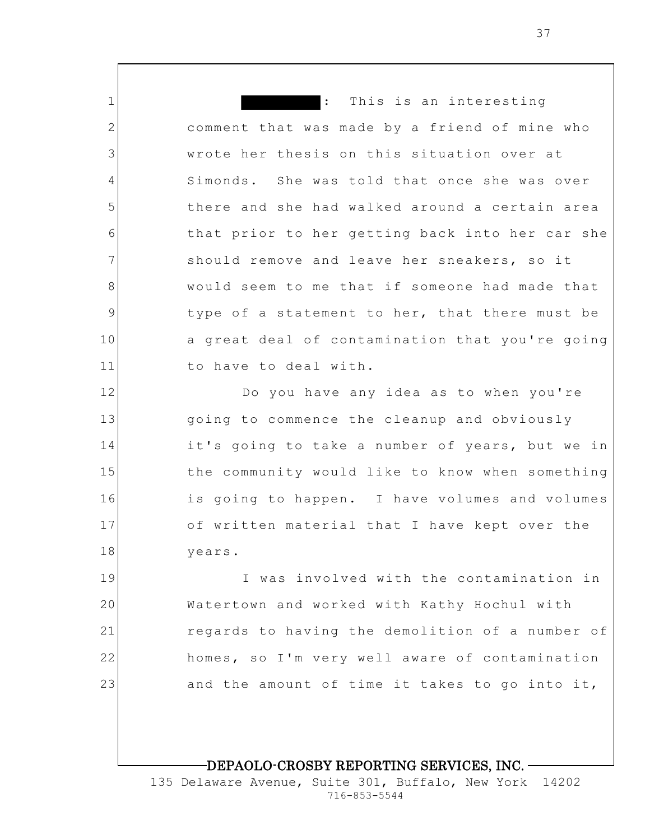: This is an interesting comment that was made by a friend of mine who wrote her thesis on this situation over at Simonds. She was told that once she was over there and she had walked around a certain area that prior to her getting back into her car she should remove and leave her sneakers, so it would seem to me that if someone had made that type of a statement to her, that there must be a great deal of contamination that you're going to have to deal with.

1

2

3

4

5

6

7

8

9

10

11

12 13 14 15 16 17 18 Do you have any idea as to when you're going to commence the cleanup and obviously it's going to take a number of years, but we in the community would like to know when something is going to happen. I have volumes and volumes of written material that I have kept over the years.

19 20 21 22 23 I was involved with the contamination in Watertown and worked with Kathy Hochul with regards to having the demolition of a number of homes, so I'm very well aware of contamination and the amount of time it takes to go into it,

## DEPAOLO-CROSBY REPORTING SERVICES, INC.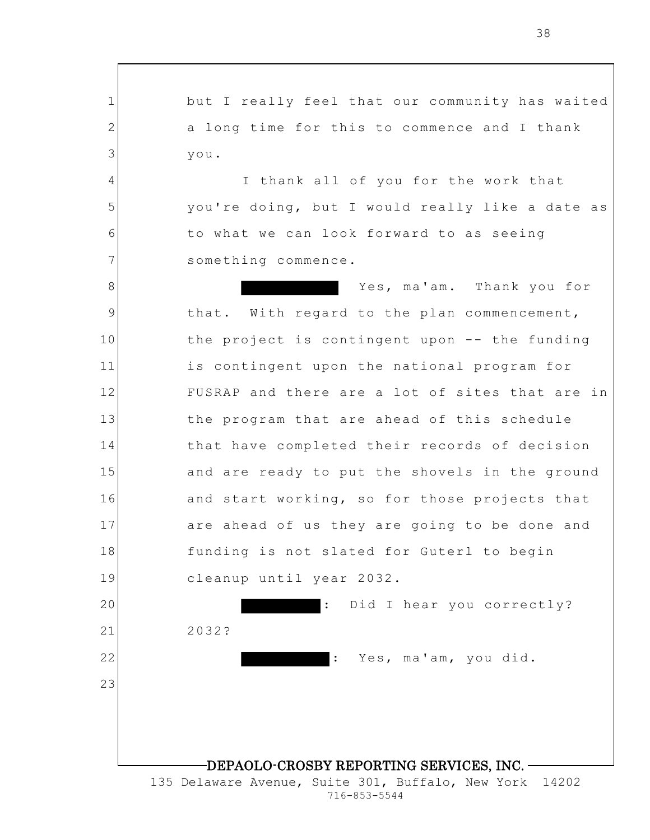1 2 3 4 5 6 7 8 9 10 11 12 13 14 15 16 17 18 19 20 21 22 23 DEPAOLO-CROSBY REPORTING SERVICES, INC. 135 Delaware Avenue, Suite 301, Buffalo, New York 14202 but I really feel that our community has waited a long time for this to commence and I thank you. I thank all of you for the work that you're doing, but I would really like a date as to what we can look forward to as seeing something commence. Yes, ma'am. Thank you for that. With regard to the plan commencement, the project is contingent upon -- the funding is contingent upon the national program for FUSRAP and there are a lot of sites that are in the program that are ahead of this schedule that have completed their records of decision and are ready to put the shovels in the ground and start working, so for those projects that are ahead of us they are going to be done and funding is not slated for Guterl to begin cleanup until year 2032. : Did I hear you correctly? 2032? : Yes, ma'am, you did.

716-853-5544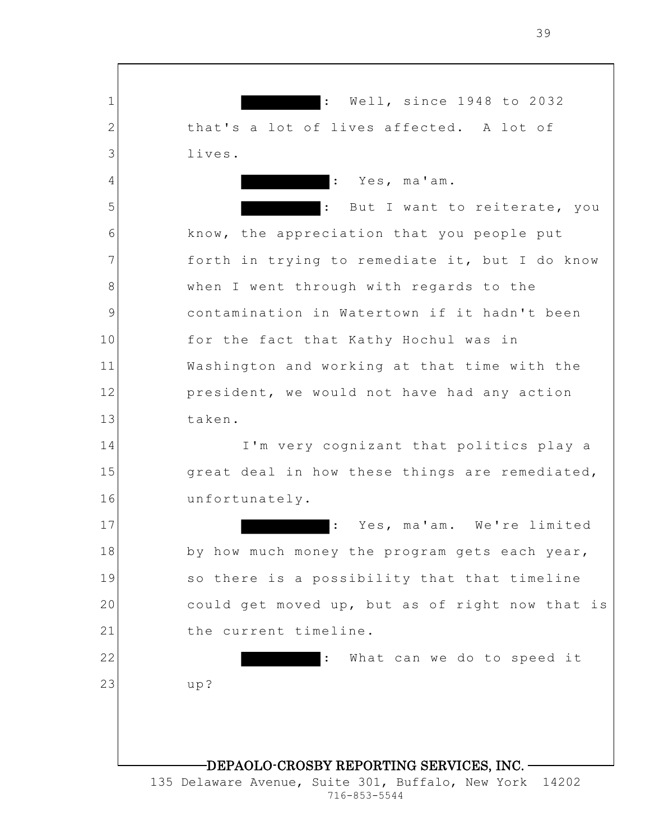1 2 3 4 5 6 7 8 9 10 11 12 13 14 15 16 17 18 19 20 21 22 23 DEPAOLO-CROSBY REPORTING SERVICES, INC. : Well, since 1948 to 2032 that's a lot of lives affected. A lot of lives. : Yes, ma'am. : But I want to reiterate, you know, the appreciation that you people put forth in trying to remediate it, but I do know when I went through with regards to the contamination in Watertown if it hadn't been for the fact that Kathy Hochul was in Washington and working at that time with the president, we would not have had any action taken. I'm very cognizant that politics play a great deal in how these things are remediated, unfortunately. : Yes, ma'am. We're limited by how much money the program gets each year, so there is a possibility that that timeline could get moved up, but as of right now that is the current timeline. : What can we do to speed it up?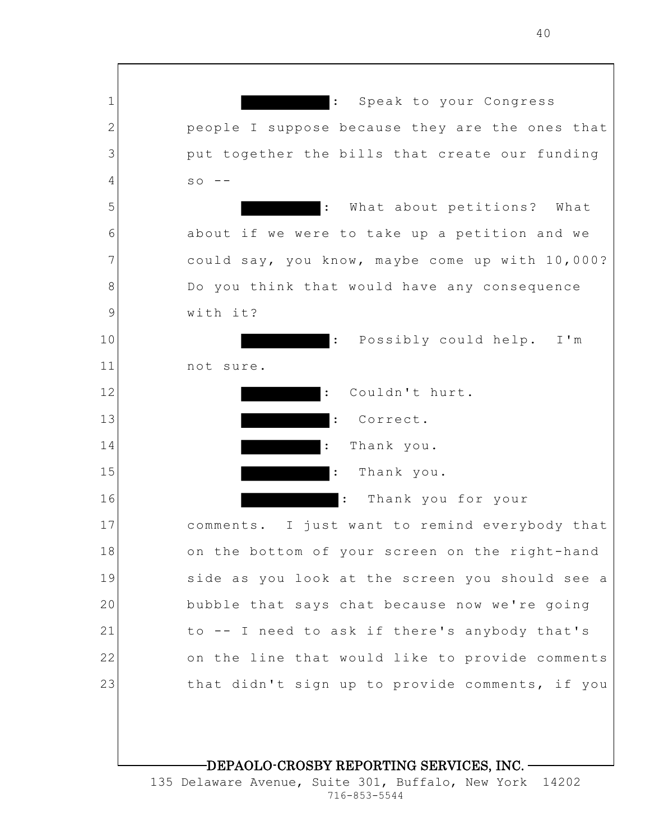1 2 3 4 5 6 7 8 9 10 11 12 13 14 15 16 17 18 19 20 21 22 23 DEPAOLO-CROSBY REPORTING SERVICES, INC. : Speak to your Congress people I suppose because they are the ones that put together the bills that create our funding  $SO = -$ : What about petitions? What about if we were to take up a petition and we could say, you know, maybe come up with 10,000? Do you think that would have any consequence with it? : Possibly could help. I'm not sure. : Couldn't hurt. Correct. Thank you. Thank you. : Thank you for your comments. I just want to remind everybody that on the bottom of your screen on the right-hand side as you look at the screen you should see a bubble that says chat because now we're going to -- I need to ask if there's anybody that's on the line that would like to provide comments that didn't sign up to provide comments, if you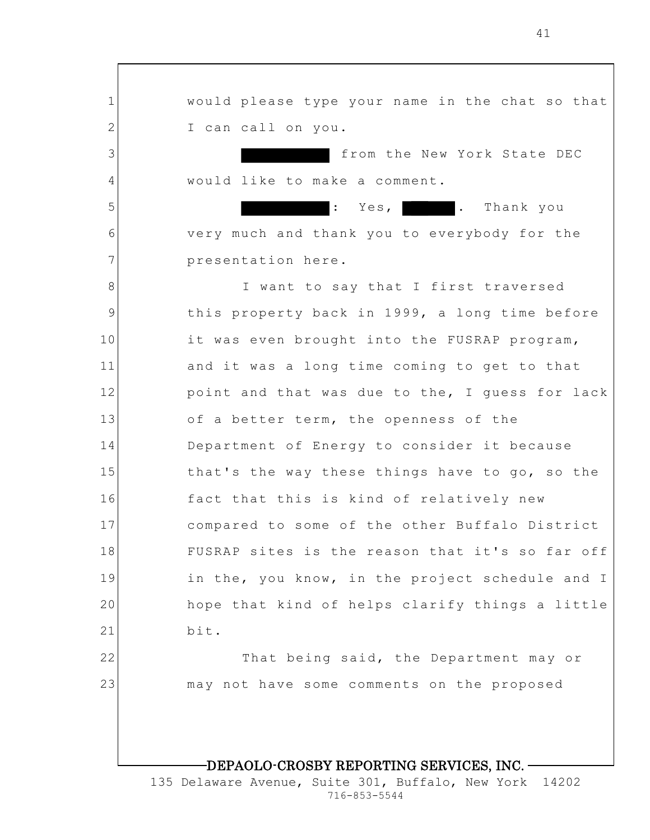1 2 3 4 5 6 7 8 9 10 11 12 13 14 15 16 17 18 19 20 21 22 23 DEPAOLO-CROSBY REPORTING SERVICES, INC. would please type your name in the chat so that I can call on you. from the New York State DEC would like to make a comment. : Yes, . . Thank you very much and thank you to everybody for the presentation here. I want to say that I first traversed this property back in 1999, a long time before it was even brought into the FUSRAP program, and it was a long time coming to get to that point and that was due to the, I guess for lack of a better term, the openness of the Department of Energy to consider it because that's the way these things have to go, so the fact that this is kind of relatively new compared to some of the other Buffalo District FUSRAP sites is the reason that it's so far off in the, you know, in the project schedule and I hope that kind of helps clarify things a little bit. That being said, the Department may or may not have some comments on the proposed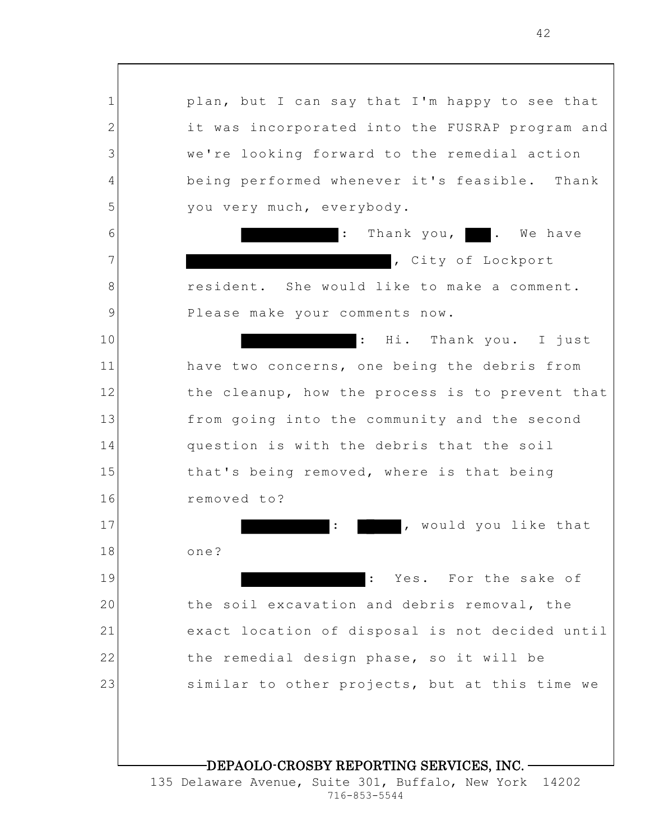1 2 3 4 5 6 7 8 9 10 11 12 13 14 15 16 17 18 19 20 21 22 23 DEPAOLO-CROSBY REPORTING SERVICES, INC. plan, but I can say that I'm happy to see that it was incorporated into the FUSRAP program and we're looking forward to the remedial action being performed whenever it's feasible. Thank you very much, everybody. : Thank you, . We have , City of Lockport resident. She would like to make a comment. Please make your comments now. : Hi. Thank you. I just have two concerns, one being the debris from the cleanup, how the process is to prevent that from going into the community and the second question is with the debris that the soil that's being removed, where is that being removed to? : , would you like that one? : Yes. For the sake of the soil excavation and debris removal, the exact location of disposal is not decided until the remedial design phase, so it will be similar to other projects, but at this time we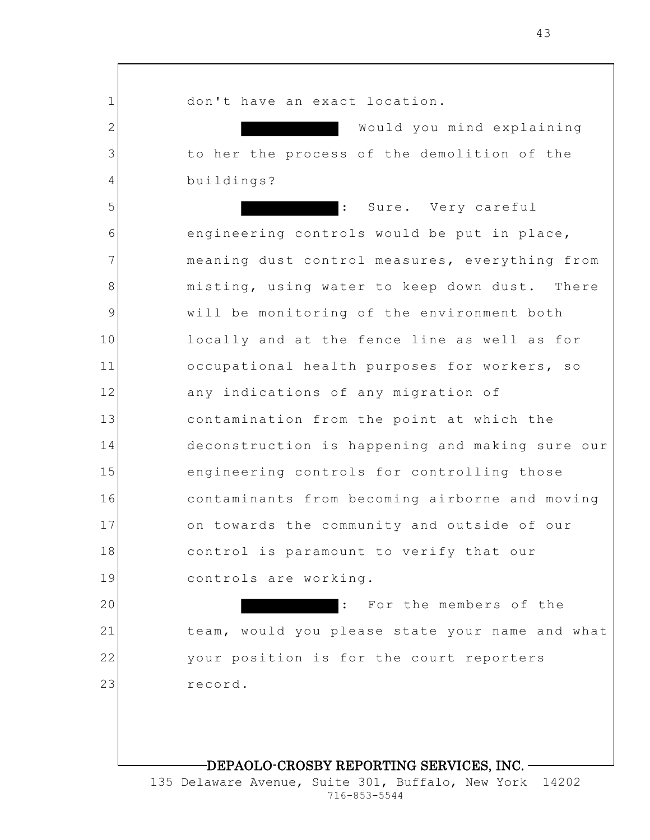| $\mathbf 1$  | don't have an exact location.                   |
|--------------|-------------------------------------------------|
| $\mathbf{2}$ | Would you mind explaining                       |
| 3            | to her the process of the demolition of the     |
| 4            | buildings?                                      |
| 5            | Sure. Very careful<br>$\mathbb{R}^{n \times n}$ |
| 6            | engineering controls would be put in place,     |
| 7            | meaning dust control measures, everything from  |
| 8            | misting, using water to keep down dust. There   |
| $\mathsf 9$  | will be monitoring of the environment both      |
| 10           | locally and at the fence line as well as for    |
| 11           | occupational health purposes for workers, so    |
| 12           | any indications of any migration of             |
| 13           | contamination from the point at which the       |
| 14           | deconstruction is happening and making sure our |
| 15           | engineering controls for controlling those      |
| 16           | contaminants from becoming airborne and moving  |
| 17           | on towards the community and outside of our     |
| 18           | control is paramount to verify that our         |
| 19           | controls are working.                           |
| 20           | For the members of the<br>∣ :                   |
| 21           | team, would you please state your name and what |
| 22           | your position is for the court reporters        |
| 23           | record.                                         |
|              |                                                 |
|              |                                                 |

DEPAOLO-CROSBY REPORTING SERVICES, INC.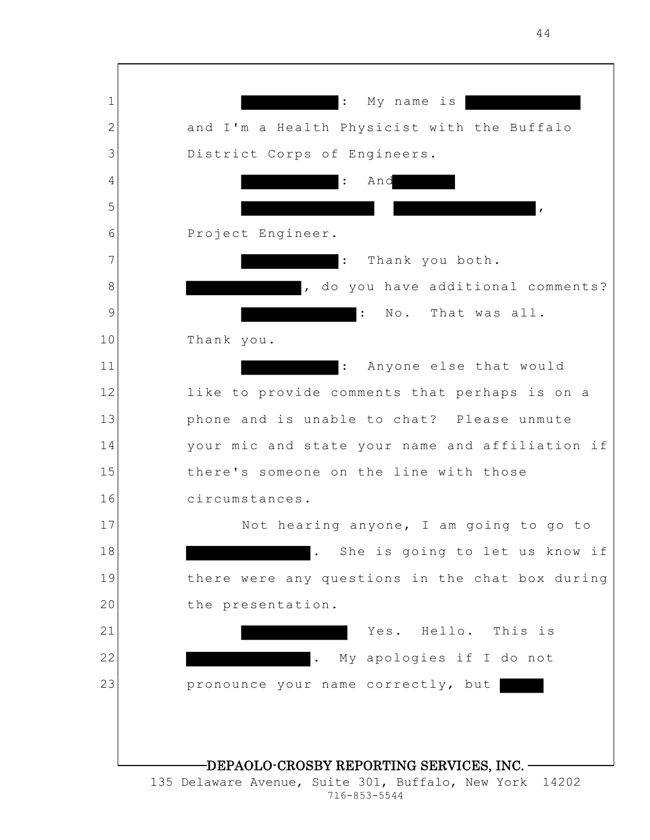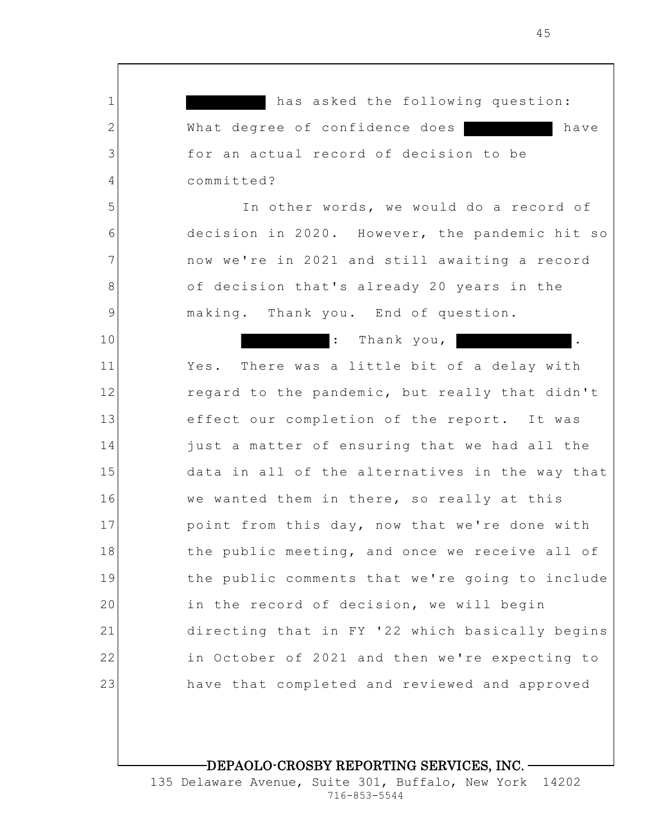1 2 3 4 5 6 7 8 9 10 11 12 13 14 15 16 17 18 19 20 21 22 23 has asked the following question: What degree of confidence does have for an actual record of decision to be committed? In other words, we would do a record of decision in 2020. However, the pandemic hit so now we're in 2021 and still awaiting a record of decision that's already 20 years in the making. Thank you. End of question. : Thank you, Yes. There was a little bit of a delay with regard to the pandemic, but really that didn't effect our completion of the report. It was just a matter of ensuring that we had all the data in all of the alternatives in the way that we wanted them in there, so really at this point from this day, now that we're done with the public meeting, and once we receive all of the public comments that we're going to include in the record of decision, we will begin directing that in FY '22 which basically begins in October of 2021 and then we're expecting to have that completed and reviewed and approved

DEPAOLO-CROSBY REPORTING SERVICES, INC.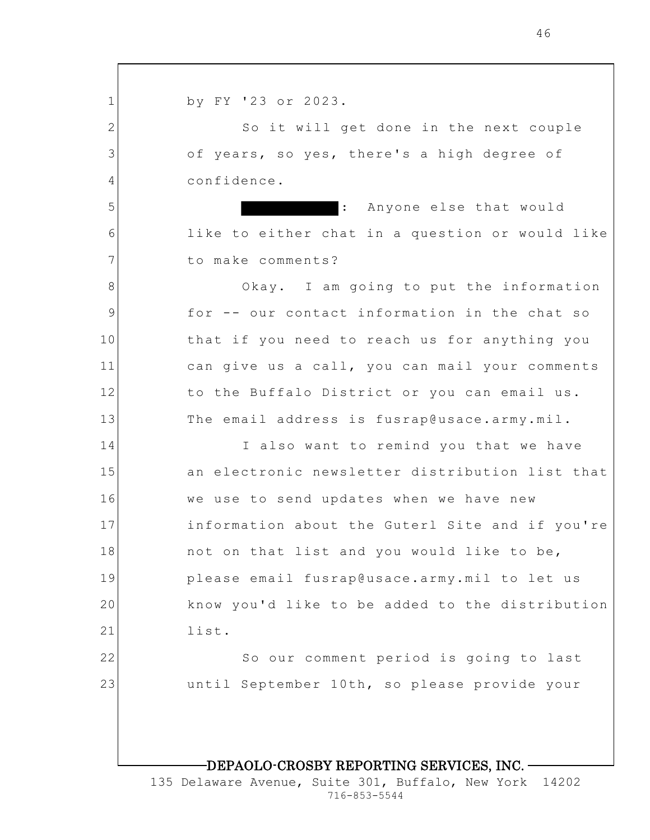1 2 3 4 5 6 7 8 9 10 11 12 13 14 15 16 17 18 19 20 21 22 23 DEPAOLO-CROSBY REPORTING SERVICES, INC. by FY '23 or 2023. So it will get done in the next couple of years, so yes, there's a high degree of confidence. : Anyone else that would like to either chat in a question or would like to make comments? Okay. I am going to put the information for -- our contact information in the chat so that if you need to reach us for anything you can give us a call, you can mail your comments to the Buffalo District or you can email us. The email address is fusrap@usace.army.mil. I also want to remind you that we have an electronic newsletter distribution list that we use to send updates when we have new information about the Guterl Site and if you're not on that list and you would like to be, please email fusrap@usace.army.mil to let us know you'd like to be added to the distribution list. So our comment period is going to last until September 10th, so please provide your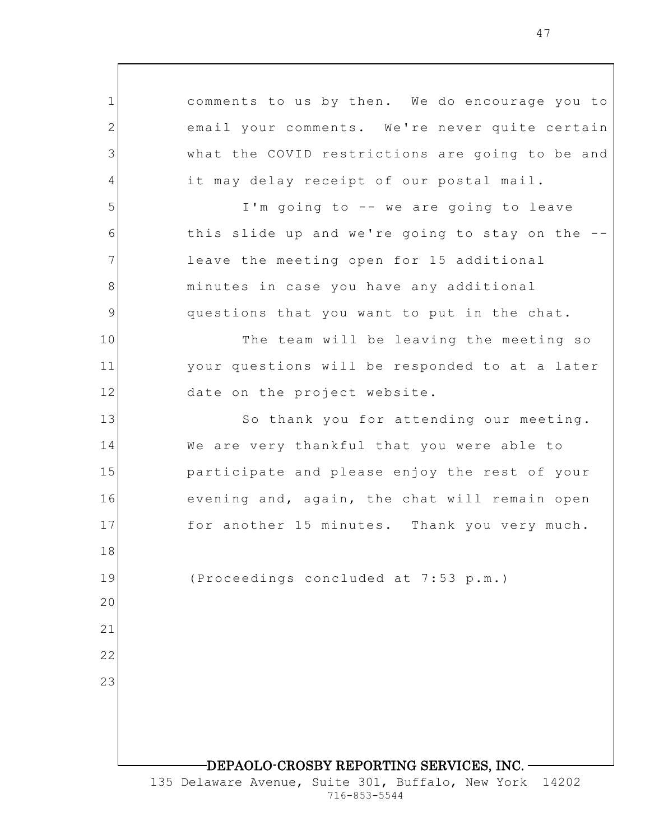1 2 3 4 5 6 7 8 9 10 11 12 13 14 15 16 17 18 19 20 21 22 23 DEPAOLO-CROSBY REPORTING SERVICES, INC. 135 Delaware Avenue, Suite 301, Buffalo, New York 14202 comments to us by then. We do encourage you to email your comments. We're never quite certain what the COVID restrictions are going to be and it may delay receipt of our postal mail. I'm going to -- we are going to leave this slide up and we're going to stay on the - leave the meeting open for 15 additional minutes in case you have any additional questions that you want to put in the chat. The team will be leaving the meeting so your questions will be responded to at a later date on the project website. So thank you for attending our meeting. We are very thankful that you were able to participate and please enjoy the rest of your evening and, again, the chat will remain open for another 15 minutes. Thank you very much. (Proceedings concluded at 7:53 p.m.)

716-853-5544